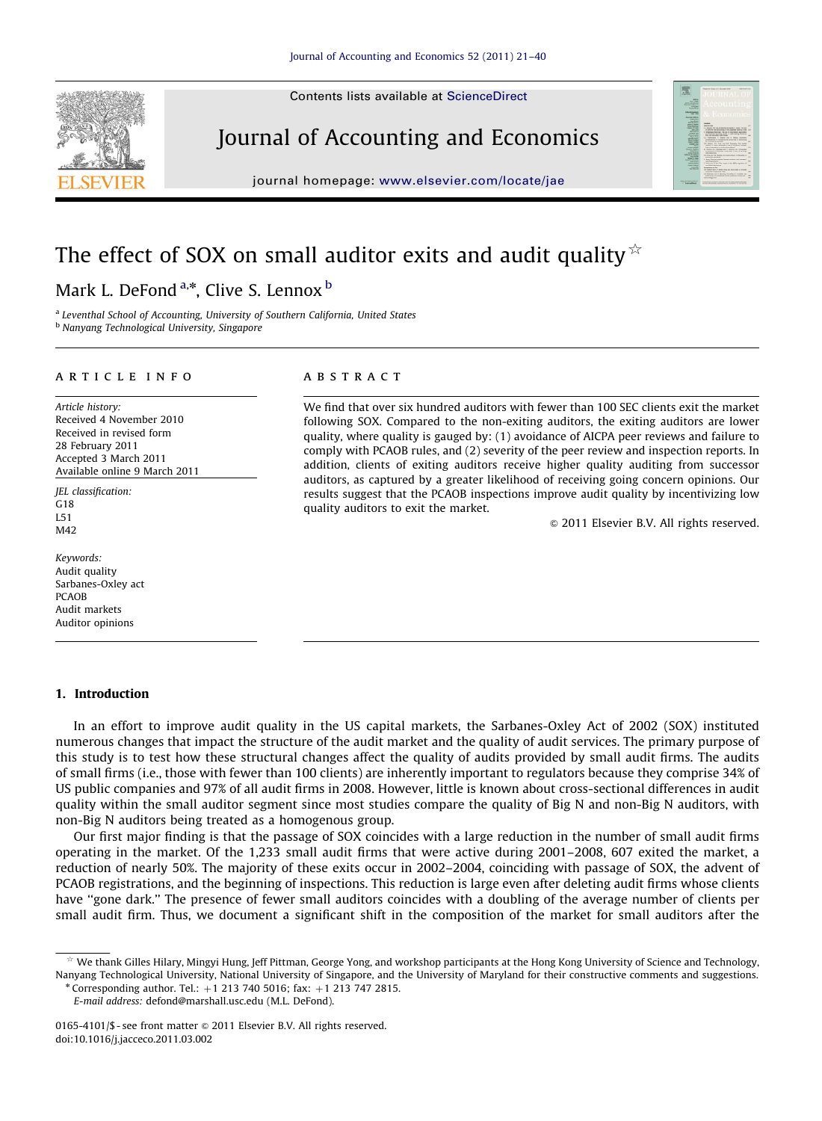Contents lists available at ScienceDirect







# The effect of SOX on small auditor exits and audit quality  $\dot{x}$

# Mark L. DeFond <sup>a,</sup>\*, Clive S. Lennox <sup>b</sup>

<sup>a</sup> Leventhal School of Accounting, University of Southern California, United States **b Nanyang Technological University, Singapore** 

#### article info

Article history: Received 4 November 2010 Received in revised form 28 February 2011 Accepted 3 March 2011 Available online 9 March 2011

JEL classification: G18 L51 M42

Keywords: Audit quality Sarbanes-Oxley act PCAOB Audit markets Auditor opinions

#### 1. Introduction

# **ABSTRACT**

We find that over six hundred auditors with fewer than 100 SEC clients exit the market following SOX. Compared to the non-exiting auditors, the exiting auditors are lower quality, where quality is gauged by: (1) avoidance of AICPA peer reviews and failure to comply with PCAOB rules, and (2) severity of the peer review and inspection reports. In addition, clients of exiting auditors receive higher quality auditing from successor auditors, as captured by a greater likelihood of receiving going concern opinions. Our results suggest that the PCAOB inspections improve audit quality by incentivizing low quality auditors to exit the market.

 $\odot$  2011 Elsevier B.V. All rights reserved.

In an effort to improve audit quality in the US capital markets, the Sarbanes-Oxley Act of 2002 (SOX) instituted numerous changes that impact the structure of the audit market and the quality of audit services. The primary purpose of this study is to test how these structural changes affect the quality of audits provided by small audit firms. The audits of small firms (i.e., those with fewer than 100 clients) are inherently important to regulators because they comprise 34% of US public companies and 97% of all audit firms in 2008. However, little is known about cross-sectional differences in audit quality within the small auditor segment since most studies compare the quality of Big N and non-Big N auditors, with non-Big N auditors being treated as a homogenous group.

Our first major finding is that the passage of SOX coincides with a large reduction in the number of small audit firms operating in the market. Of the 1,233 small audit firms that were active during 2001–2008, 607 exited the market, a reduction of nearly 50%. The majority of these exits occur in 2002–2004, coinciding with passage of SOX, the advent of PCAOB registrations, and the beginning of inspections. This reduction is large even after deleting audit firms whose clients have "gone dark." The presence of fewer small auditors coincides with a doubling of the average number of clients per small audit firm. Thus, we document a significant shift in the composition of the market for small auditors after the

 $*$  Corresponding author. Tel.:  $+1$  213 740 5016; fax:  $+1$  213 747 2815.

 $^\star$  We thank Gilles Hilary, Mingyi Hung, Jeff Pittman, George Yong, and workshop participants at the Hong Kong University of Science and Technology, Nanyang Technological University, National University of Singapore, and the University of Maryland for their constructive comments and suggestions.

E-mail address: [defond@marshall.usc.edu \(M.L. DeFond\).](mailto:defond@marshall.usc.edu)

<sup>0165-4101/\$ -</sup> see front matter  $\odot$  2011 Elsevier B.V. All rights reserved. doi:[10.1016/j.jacceco.2011.03.002](dx.doi.org/10.1016/j.jacceco.2011.03.002)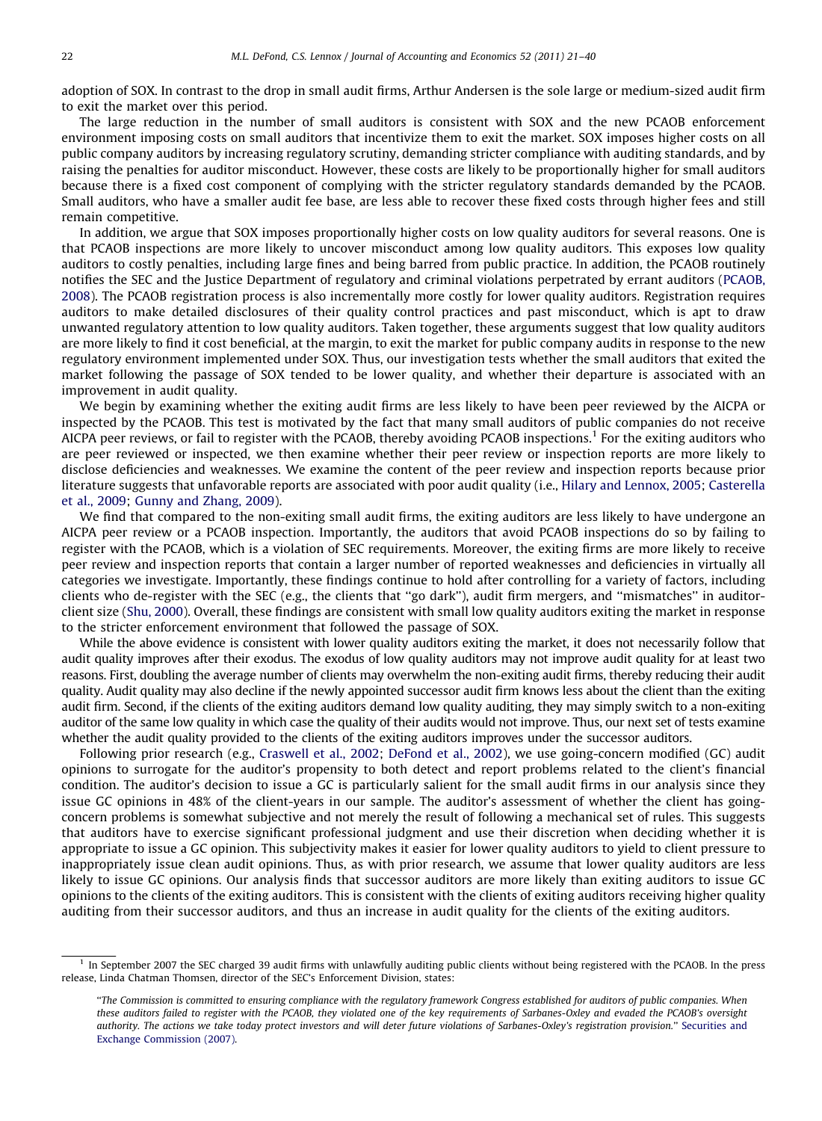adoption of SOX. In contrast to the drop in small audit firms, Arthur Andersen is the sole large or medium-sized audit firm to exit the market over this period.

The large reduction in the number of small auditors is consistent with SOX and the new PCAOB enforcement environment imposing costs on small auditors that incentivize them to exit the market. SOX imposes higher costs on all public company auditors by increasing regulatory scrutiny, demanding stricter compliance with auditing standards, and by raising the penalties for auditor misconduct. However, these costs are likely to be proportionally higher for small auditors because there is a fixed cost component of complying with the stricter regulatory standards demanded by the PCAOB. Small auditors, who have a smaller audit fee base, are less able to recover these fixed costs through higher fees and still remain competitive.

In addition, we argue that SOX imposes proportionally higher costs on low quality auditors for several reasons. One is that PCAOB inspections are more likely to uncover misconduct among low quality auditors. This exposes low quality auditors to costly penalties, including large fines and being barred from public practice. In addition, the PCAOB routinely notifies the SEC and the Justice Department of regulatory and criminal violations perpetrated by errant auditors [\(PCAOB,](#page-19-0) [2008\)](#page-19-0). The PCAOB registration process is also incrementally more costly for lower quality auditors. Registration requires auditors to make detailed disclosures of their quality control practices and past misconduct, which is apt to draw unwanted regulatory attention to low quality auditors. Taken together, these arguments suggest that low quality auditors are more likely to find it cost beneficial, at the margin, to exit the market for public company audits in response to the new regulatory environment implemented under SOX. Thus, our investigation tests whether the small auditors that exited the market following the passage of SOX tended to be lower quality, and whether their departure is associated with an improvement in audit quality.

We begin by examining whether the exiting audit firms are less likely to have been peer reviewed by the AICPA or inspected by the PCAOB. This test is motivated by the fact that many small auditors of public companies do not receive AICPA peer reviews, or fail to register with the PCAOB, thereby avoiding PCAOB inspections.<sup>1</sup> For the exiting auditors who are peer reviewed or inspected, we then examine whether their peer review or inspection reports are more likely to disclose deficiencies and weaknesses. We examine the content of the peer review and inspection reports because prior literature suggests that unfavorable reports are associated with poor audit quality (i.e., [Hilary and Lennox, 2005;](#page-18-0) [Casterella](#page-18-0) [et al., 2009;](#page-18-0) [Gunny and Zhang, 2009\)](#page-18-0).

We find that compared to the non-exiting small audit firms, the exiting auditors are less likely to have undergone an AICPA peer review or a PCAOB inspection. Importantly, the auditors that avoid PCAOB inspections do so by failing to register with the PCAOB, which is a violation of SEC requirements. Moreover, the exiting firms are more likely to receive peer review and inspection reports that contain a larger number of reported weaknesses and deficiencies in virtually all categories we investigate. Importantly, these findings continue to hold after controlling for a variety of factors, including clients who de-register with the SEC (e.g., the clients that ''go dark''), audit firm mergers, and ''mismatches'' in auditorclient size [\(Shu, 2000](#page-19-0)). Overall, these findings are consistent with small low quality auditors exiting the market in response to the stricter enforcement environment that followed the passage of SOX.

While the above evidence is consistent with lower quality auditors exiting the market, it does not necessarily follow that audit quality improves after their exodus. The exodus of low quality auditors may not improve audit quality for at least two reasons. First, doubling the average number of clients may overwhelm the non-exiting audit firms, thereby reducing their audit quality. Audit quality may also decline if the newly appointed successor audit firm knows less about the client than the exiting audit firm. Second, if the clients of the exiting auditors demand low quality auditing, they may simply switch to a non-exiting auditor of the same low quality in which case the quality of their audits would not improve. Thus, our next set of tests examine whether the audit quality provided to the clients of the exiting auditors improves under the successor auditors.

Following prior research (e.g., [Craswell et al., 2002](#page-18-0); [DeFond et al., 2002](#page-18-0)), we use going-concern modified (GC) audit opinions to surrogate for the auditor's propensity to both detect and report problems related to the client's financial condition. The auditor's decision to issue a GC is particularly salient for the small audit firms in our analysis since they issue GC opinions in 48% of the client-years in our sample. The auditor's assessment of whether the client has goingconcern problems is somewhat subjective and not merely the result of following a mechanical set of rules. This suggests that auditors have to exercise significant professional judgment and use their discretion when deciding whether it is appropriate to issue a GC opinion. This subjectivity makes it easier for lower quality auditors to yield to client pressure to inappropriately issue clean audit opinions. Thus, as with prior research, we assume that lower quality auditors are less likely to issue GC opinions. Our analysis finds that successor auditors are more likely than exiting auditors to issue GC opinions to the clients of the exiting auditors. This is consistent with the clients of exiting auditors receiving higher quality auditing from their successor auditors, and thus an increase in audit quality for the clients of the exiting auditors.

<sup>1</sup> In September 2007 the SEC charged 39 audit firms with unlawfully auditing public clients without being registered with the PCAOB. In the press release, Linda Chatman Thomsen, director of the SEC's Enforcement Division, states:

<sup>&#</sup>x27;'The Commission is committed to ensuring compliance with the regulatory framework Congress established for auditors of public companies. When these auditors failed to register with the PCAOB, they violated one of the key requirements of Sarbanes-Oxley and evaded the PCAOB's oversight authority. The actions we take today protect investors and will deter future violations of Sarbanes-Oxley's registration provision.'' [Securities and](#page-19-0) [Exchange Commission \(2007\).](#page-19-0)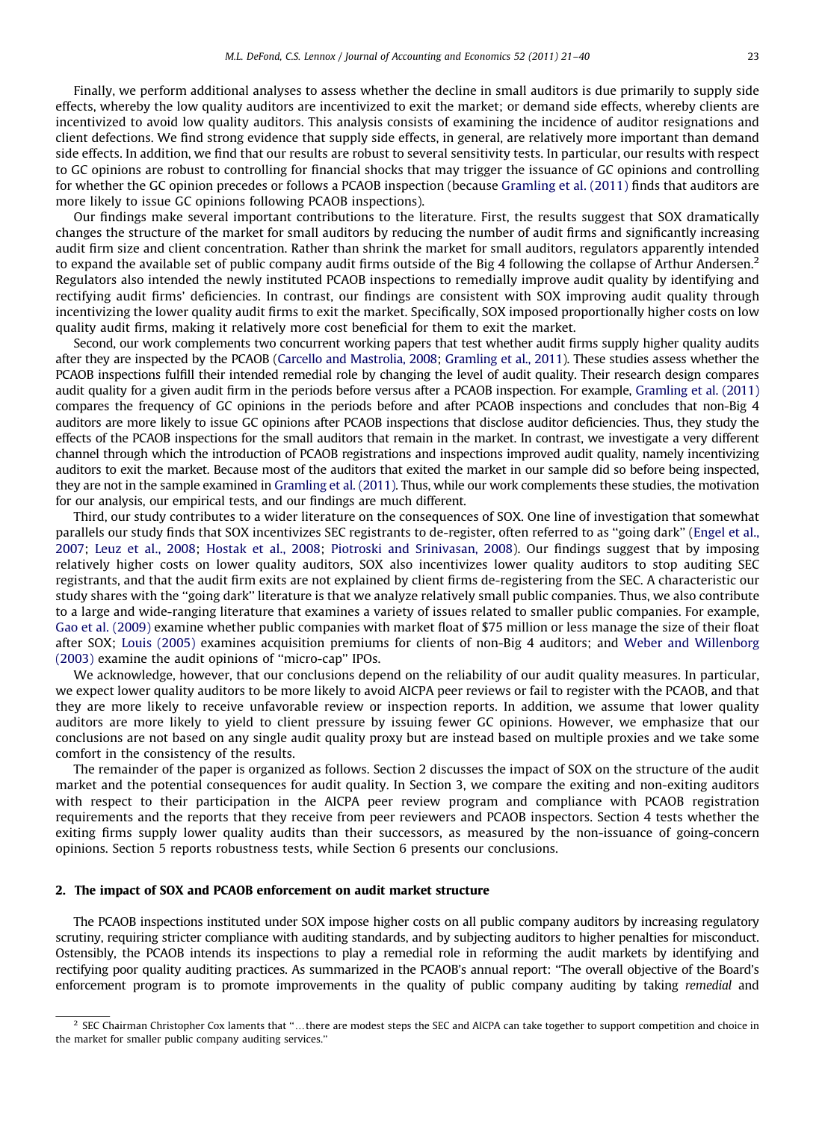Finally, we perform additional analyses to assess whether the decline in small auditors is due primarily to supply side effects, whereby the low quality auditors are incentivized to exit the market; or demand side effects, whereby clients are incentivized to avoid low quality auditors. This analysis consists of examining the incidence of auditor resignations and client defections. We find strong evidence that supply side effects, in general, are relatively more important than demand side effects. In addition, we find that our results are robust to several sensitivity tests. In particular, our results with respect to GC opinions are robust to controlling for financial shocks that may trigger the issuance of GC opinions and controlling for whether the GC opinion precedes or follows a PCAOB inspection (because [Gramling et al. \(2011\)](#page-18-0) finds that auditors are more likely to issue GC opinions following PCAOB inspections).

Our findings make several important contributions to the literature. First, the results suggest that SOX dramatically changes the structure of the market for small auditors by reducing the number of audit firms and significantly increasing audit firm size and client concentration. Rather than shrink the market for small auditors, regulators apparently intended to expand the available set of public company audit firms outside of the Big 4 following the collapse of Arthur Andersen.<sup>2</sup> Regulators also intended the newly instituted PCAOB inspections to remedially improve audit quality by identifying and rectifying audit firms' deficiencies. In contrast, our findings are consistent with SOX improving audit quality through incentivizing the lower quality audit firms to exit the market. Specifically, SOX imposed proportionally higher costs on low quality audit firms, making it relatively more cost beneficial for them to exit the market.

Second, our work complements two concurrent working papers that test whether audit firms supply higher quality audits after they are inspected by the PCAOB [\(Carcello and Mastrolia, 2008;](#page-18-0) [Gramling et al., 2011\)](#page-18-0). These studies assess whether the PCAOB inspections fulfill their intended remedial role by changing the level of audit quality. Their research design compares audit quality for a given audit firm in the periods before versus after a PCAOB inspection. For example, [Gramling et al. \(2011\)](#page-18-0) compares the frequency of GC opinions in the periods before and after PCAOB inspections and concludes that non-Big 4 auditors are more likely to issue GC opinions after PCAOB inspections that disclose auditor deficiencies. Thus, they study the effects of the PCAOB inspections for the small auditors that remain in the market. In contrast, we investigate a very different channel through which the introduction of PCAOB registrations and inspections improved audit quality, namely incentivizing auditors to exit the market. Because most of the auditors that exited the market in our sample did so before being inspected, they are not in the sample examined in [Gramling et al. \(2011\).](#page-18-0) Thus, while our work complements these studies, the motivation for our analysis, our empirical tests, and our findings are much different.

Third, our study contributes to a wider literature on the consequences of SOX. One line of investigation that somewhat parallels our study finds that SOX incentivizes SEC registrants to de-register, often referred to as ''going dark'' [\(Engel et al.,](#page-18-0) [2007](#page-18-0); [Leuz et al., 2008;](#page-18-0) [Hostak et al., 2008](#page-18-0); [Piotroski and Srinivasan, 2008\)](#page-18-0). Our findings suggest that by imposing relatively higher costs on lower quality auditors, SOX also incentivizes lower quality auditors to stop auditing SEC registrants, and that the audit firm exits are not explained by client firms de-registering from the SEC. A characteristic our study shares with the ''going dark'' literature is that we analyze relatively small public companies. Thus, we also contribute to a large and wide-ranging literature that examines a variety of issues related to smaller public companies. For example, [Gao et al. \(2009\)](#page-18-0) examine whether public companies with market float of \$75 million or less manage the size of their float after SOX; [Louis \(2005\)](#page-18-0) examines acquisition premiums for clients of non-Big 4 auditors; and [Weber and Willenborg](#page-19-0) [\(2003\)](#page-19-0) examine the audit opinions of ''micro-cap'' IPOs.

We acknowledge, however, that our conclusions depend on the reliability of our audit quality measures. In particular, we expect lower quality auditors to be more likely to avoid AICPA peer reviews or fail to register with the PCAOB, and that they are more likely to receive unfavorable review or inspection reports. In addition, we assume that lower quality auditors are more likely to yield to client pressure by issuing fewer GC opinions. However, we emphasize that our conclusions are not based on any single audit quality proxy but are instead based on multiple proxies and we take some comfort in the consistency of the results.

The remainder of the paper is organized as follows. Section 2 discusses the impact of SOX on the structure of the audit market and the potential consequences for audit quality. In Section 3, we compare the exiting and non-exiting auditors with respect to their participation in the AICPA peer review program and compliance with PCAOB registration requirements and the reports that they receive from peer reviewers and PCAOB inspectors. Section 4 tests whether the exiting firms supply lower quality audits than their successors, as measured by the non-issuance of going-concern opinions. Section 5 reports robustness tests, while Section 6 presents our conclusions.

# 2. The impact of SOX and PCAOB enforcement on audit market structure

The PCAOB inspections instituted under SOX impose higher costs on all public company auditors by increasing regulatory scrutiny, requiring stricter compliance with auditing standards, and by subjecting auditors to higher penalties for misconduct. Ostensibly, the PCAOB intends its inspections to play a remedial role in reforming the audit markets by identifying and rectifying poor quality auditing practices. As summarized in the PCAOB's annual report: ''The overall objective of the Board's enforcement program is to promote improvements in the quality of public company auditing by taking remedial and

 $2$  SEC Chairman Christopher Cox laments that "...there are modest steps the SEC and AICPA can take together to support competition and choice in the market for smaller public company auditing services.''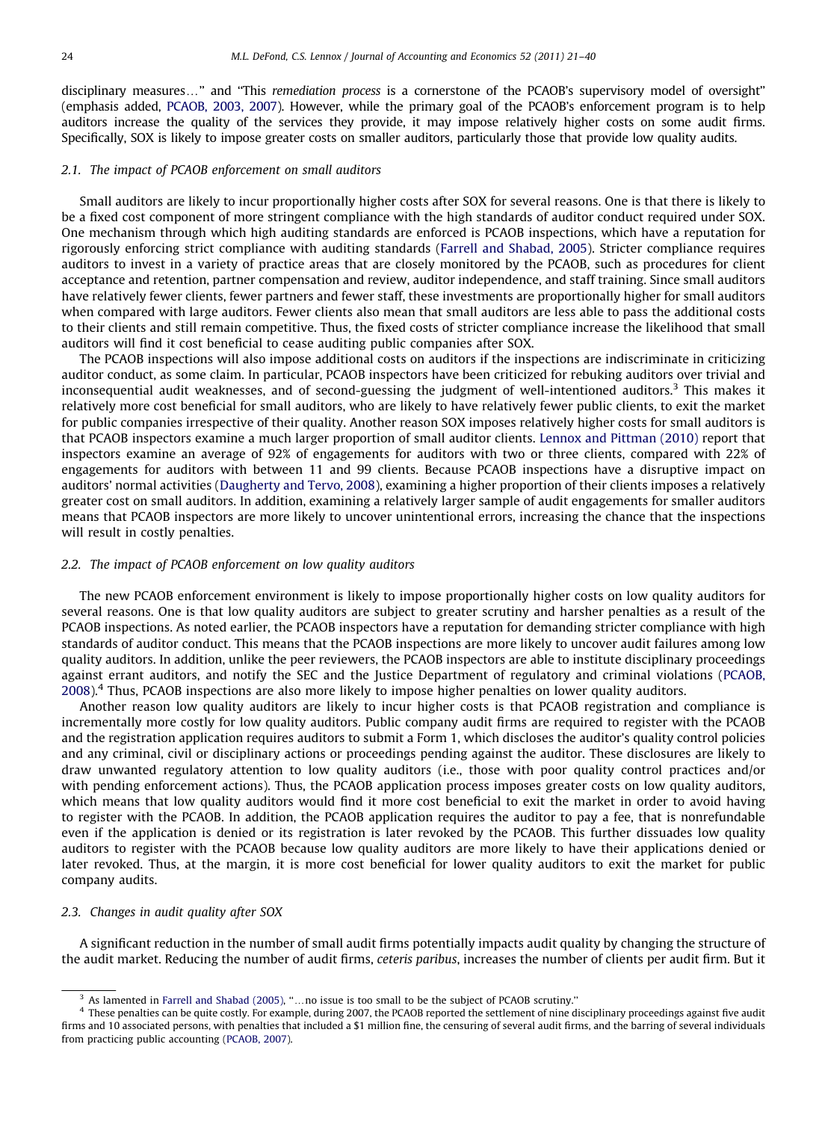disciplinary measures..." and "This remediation process is a cornerstone of the PCAOB's supervisory model of oversight" (emphasis added, [PCAOB, 2003, 2007\)](#page-19-0). However, while the primary goal of the PCAOB's enforcement program is to help auditors increase the quality of the services they provide, it may impose relatively higher costs on some audit firms. Specifically, SOX is likely to impose greater costs on smaller auditors, particularly those that provide low quality audits.

#### 2.1. The impact of PCAOB enforcement on small auditors

Small auditors are likely to incur proportionally higher costs after SOX for several reasons. One is that there is likely to be a fixed cost component of more stringent compliance with the high standards of auditor conduct required under SOX. One mechanism through which high auditing standards are enforced is PCAOB inspections, which have a reputation for rigorously enforcing strict compliance with auditing standards ([Farrell and Shabad, 2005](#page-18-0)). Stricter compliance requires auditors to invest in a variety of practice areas that are closely monitored by the PCAOB, such as procedures for client acceptance and retention, partner compensation and review, auditor independence, and staff training. Since small auditors have relatively fewer clients, fewer partners and fewer staff, these investments are proportionally higher for small auditors when compared with large auditors. Fewer clients also mean that small auditors are less able to pass the additional costs to their clients and still remain competitive. Thus, the fixed costs of stricter compliance increase the likelihood that small auditors will find it cost beneficial to cease auditing public companies after SOX.

The PCAOB inspections will also impose additional costs on auditors if the inspections are indiscriminate in criticizing auditor conduct, as some claim. In particular, PCAOB inspectors have been criticized for rebuking auditors over trivial and inconsequential audit weaknesses, and of second-guessing the judgment of well-intentioned auditors.3 This makes it relatively more cost beneficial for small auditors, who are likely to have relatively fewer public clients, to exit the market for public companies irrespective of their quality. Another reason SOX imposes relatively higher costs for small auditors is that PCAOB inspectors examine a much larger proportion of small auditor clients. [Lennox and Pittman \(2010\)](#page-18-0) report that inspectors examine an average of 92% of engagements for auditors with two or three clients, compared with 22% of engagements for auditors with between 11 and 99 clients. Because PCAOB inspections have a disruptive impact on auditors' normal activities ([Daugherty and Tervo, 2008\)](#page-18-0), examining a higher proportion of their clients imposes a relatively greater cost on small auditors. In addition, examining a relatively larger sample of audit engagements for smaller auditors means that PCAOB inspectors are more likely to uncover unintentional errors, increasing the chance that the inspections will result in costly penalties.

# 2.2. The impact of PCAOB enforcement on low quality auditors

The new PCAOB enforcement environment is likely to impose proportionally higher costs on low quality auditors for several reasons. One is that low quality auditors are subject to greater scrutiny and harsher penalties as a result of the PCAOB inspections. As noted earlier, the PCAOB inspectors have a reputation for demanding stricter compliance with high standards of auditor conduct. This means that the PCAOB inspections are more likely to uncover audit failures among low quality auditors. In addition, unlike the peer reviewers, the PCAOB inspectors are able to institute disciplinary proceedings against errant auditors, and notify the SEC and the Justice Department of regulatory and criminal violations [\(PCAOB,](#page-19-0) [2008\)](#page-19-0).4 Thus, PCAOB inspections are also more likely to impose higher penalties on lower quality auditors.

Another reason low quality auditors are likely to incur higher costs is that PCAOB registration and compliance is incrementally more costly for low quality auditors. Public company audit firms are required to register with the PCAOB and the registration application requires auditors to submit a Form 1, which discloses the auditor's quality control policies and any criminal, civil or disciplinary actions or proceedings pending against the auditor. These disclosures are likely to draw unwanted regulatory attention to low quality auditors (i.e., those with poor quality control practices and/or with pending enforcement actions). Thus, the PCAOB application process imposes greater costs on low quality auditors, which means that low quality auditors would find it more cost beneficial to exit the market in order to avoid having to register with the PCAOB. In addition, the PCAOB application requires the auditor to pay a fee, that is nonrefundable even if the application is denied or its registration is later revoked by the PCAOB. This further dissuades low quality auditors to register with the PCAOB because low quality auditors are more likely to have their applications denied or later revoked. Thus, at the margin, it is more cost beneficial for lower quality auditors to exit the market for public company audits.

# 2.3. Changes in audit quality after SOX

A significant reduction in the number of small audit firms potentially impacts audit quality by changing the structure of the audit market. Reducing the number of audit firms, ceteris paribus, increases the number of clients per audit firm. But it

 $3$  As lamented in [Farrell and Shabad \(2005\),](#page-18-0) "... no issue is too small to be the subject of PCAOB scrutiny."

<sup>4</sup> These penalties can be quite costly. For example, during 2007, the PCAOB reported the settlement of nine disciplinary proceedings against five audit firms and 10 associated persons, with penalties that included a \$1 million fine, the censuring of several audit firms, and the barring of several individuals from practicing public accounting [\(PCAOB, 2007](#page-19-0)).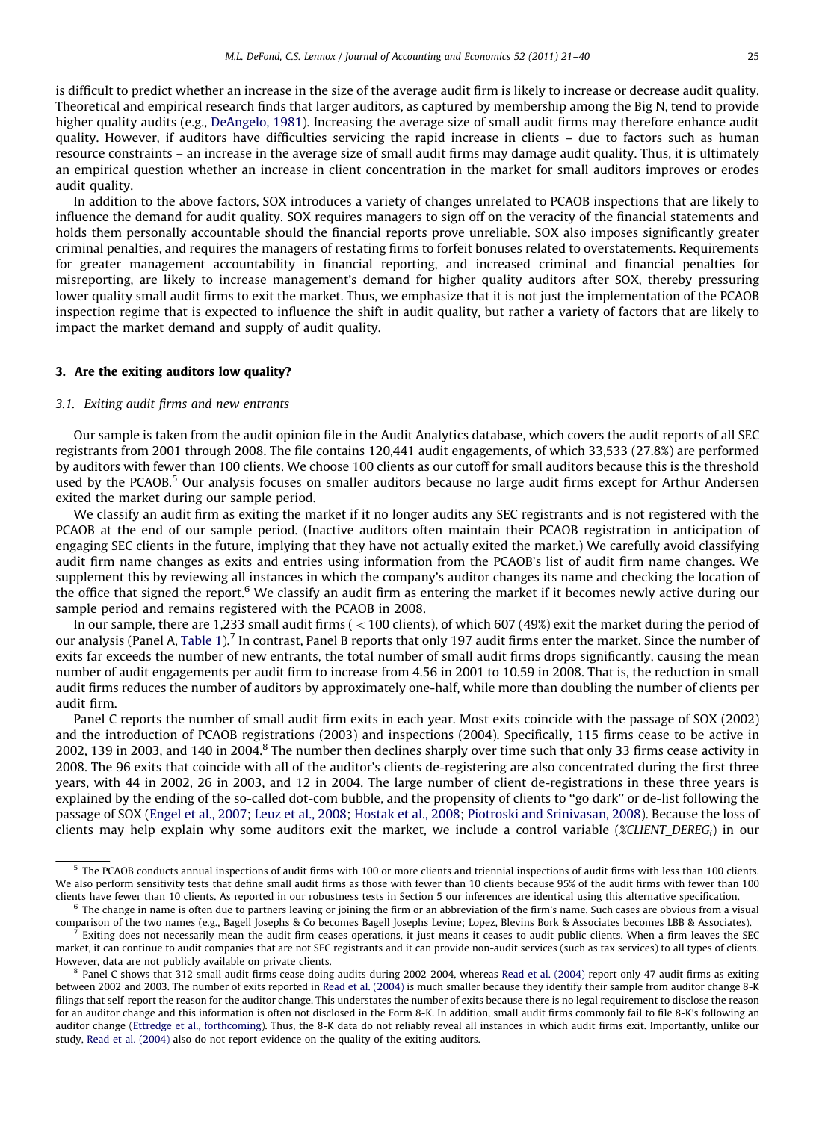is difficult to predict whether an increase in the size of the average audit firm is likely to increase or decrease audit quality. Theoretical and empirical research finds that larger auditors, as captured by membership among the Big N, tend to provide higher quality audits (e.g., [DeAngelo, 1981](#page-18-0)). Increasing the average size of small audit firms may therefore enhance audit quality. However, if auditors have difficulties servicing the rapid increase in clients – due to factors such as human resource constraints – an increase in the average size of small audit firms may damage audit quality. Thus, it is ultimately an empirical question whether an increase in client concentration in the market for small auditors improves or erodes audit quality.

In addition to the above factors, SOX introduces a variety of changes unrelated to PCAOB inspections that are likely to influence the demand for audit quality. SOX requires managers to sign off on the veracity of the financial statements and holds them personally accountable should the financial reports prove unreliable. SOX also imposes significantly greater criminal penalties, and requires the managers of restating firms to forfeit bonuses related to overstatements. Requirements for greater management accountability in financial reporting, and increased criminal and financial penalties for misreporting, are likely to increase management's demand for higher quality auditors after SOX, thereby pressuring lower quality small audit firms to exit the market. Thus, we emphasize that it is not just the implementation of the PCAOB inspection regime that is expected to influence the shift in audit quality, but rather a variety of factors that are likely to impact the market demand and supply of audit quality.

#### 3. Are the exiting auditors low quality?

# 3.1. Exiting audit firms and new entrants

Our sample is taken from the audit opinion file in the Audit Analytics database, which covers the audit reports of all SEC registrants from 2001 through 2008. The file contains 120,441 audit engagements, of which 33,533 (27.8%) are performed by auditors with fewer than 100 clients. We choose 100 clients as our cutoff for small auditors because this is the threshold used by the PCAOB.<sup>5</sup> Our analysis focuses on smaller auditors because no large audit firms except for Arthur Andersen exited the market during our sample period.

We classify an audit firm as exiting the market if it no longer audits any SEC registrants and is not registered with the PCAOB at the end of our sample period. (Inactive auditors often maintain their PCAOB registration in anticipation of engaging SEC clients in the future, implying that they have not actually exited the market.) We carefully avoid classifying audit firm name changes as exits and entries using information from the PCAOB's list of audit firm name changes. We supplement this by reviewing all instances in which the company's auditor changes its name and checking the location of the office that signed the report.<sup>6</sup> We classify an audit firm as entering the market if it becomes newly active during our sample period and remains registered with the PCAOB in 2008.

In our sample, there are 1,233 small audit firms ( $<$  100 clients), of which 607 (49%) exit the market during the period of our analysis (Panel A, [Table 1](#page-5-0)).<sup>7</sup> In contrast, Panel B reports that only 197 audit firms enter the market. Since the number of exits far exceeds the number of new entrants, the total number of small audit firms drops significantly, causing the mean number of audit engagements per audit firm to increase from 4.56 in 2001 to 10.59 in 2008. That is, the reduction in small audit firms reduces the number of auditors by approximately one-half, while more than doubling the number of clients per audit firm.

Panel C reports the number of small audit firm exits in each year. Most exits coincide with the passage of SOX (2002) and the introduction of PCAOB registrations (2003) and inspections (2004). Specifically, 115 firms cease to be active in 2002, 139 in 2003, and 140 in 2004.<sup>8</sup> The number then declines sharply over time such that only 33 firms cease activity in 2008. The 96 exits that coincide with all of the auditor's clients de-registering are also concentrated during the first three years, with 44 in 2002, 26 in 2003, and 12 in 2004. The large number of client de-registrations in these three years is explained by the ending of the so-called dot-com bubble, and the propensity of clients to ''go dark'' or de-list following the passage of SOX [\(Engel et al., 2007;](#page-18-0) [Leuz et al., 2008;](#page-18-0) [Hostak et al., 2008;](#page-18-0) [Piotroski and Srinivasan, 2008\)](#page-18-0). Because the loss of clients may help explain why some auditors exit the market, we include a control variable ( $\mathscr{X}CLIENT\_DEREG_i$ ) in our

<sup>5</sup> The PCAOB conducts annual inspections of audit firms with 100 or more clients and triennial inspections of audit firms with less than 100 clients. We also perform sensitivity tests that define small audit firms as those with fewer than 10 clients because 95% of the audit firms with fewer than 100 clients have fewer than 10 clients. As reported in our robustness tests in Section 5 our inferences are identical using this alternative specification.

 $6$  The change in name is often due to partners leaving or joining the firm or an abbreviation of the firm's name. Such cases are obvious from a visual comparison of the two names (e.g., Bagell Josephs & Co becomes Bagell Josephs Levine; Lopez, Blevins Bork & Associates becomes LBB & Associates).

<sup>7</sup> Exiting does not necessarily mean the audit firm ceases operations, it just means it ceases to audit public clients. When a firm leaves the SEC market, it can continue to audit companies that are not SEC registrants and it can provide non-audit services (such as tax services) to all types of clients. However, data are not publicly available on private clients.

<sup>&</sup>lt;sup>8</sup> Panel C shows that 312 small audit firms cease doing audits during 2002-2004, whereas [Read et al. \(2004\)](#page-19-0) report only 47 audit firms as exiting between 2002 and 2003. The number of exits reported in [Read et al. \(2004\)](#page-19-0) is much smaller because they identify their sample from auditor change 8-K filings that self-report the reason for the auditor change. This understates the number of exits because there is no legal requirement to disclose the reason for an auditor change and this information is often not disclosed in the Form 8-K. In addition, small audit firms commonly fail to file 8-K's following an auditor change [\(Ettredge et al., forthcoming](#page-18-0)). Thus, the 8-K data do not reliably reveal all instances in which audit firms exit. Importantly, unlike our study, [Read et al. \(2004\)](#page-19-0) also do not report evidence on the quality of the exiting auditors.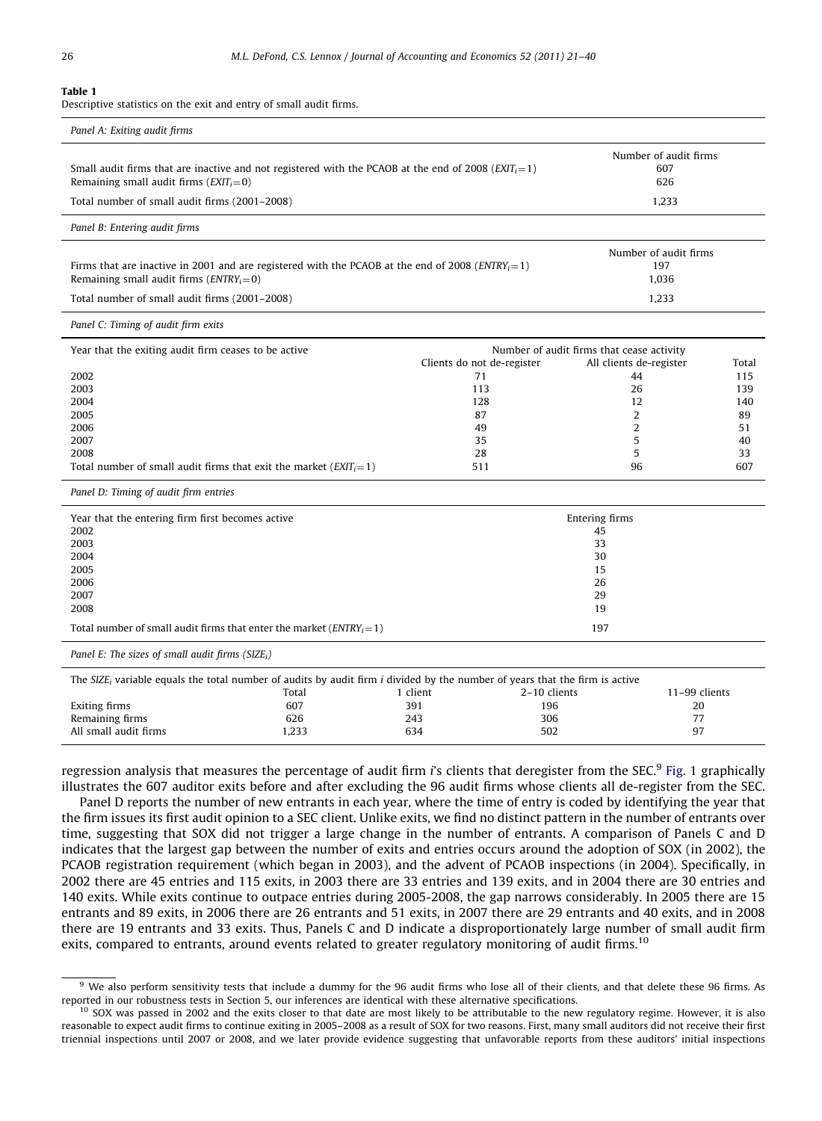#### <span id="page-5-0"></span>Table 1

Descriptive statistics on the exit and entry of small audit firms.

| Panel A: Exiting audit firms                                                                                                                          |                                                                                                                                                    |                                        |                                                                            |                                    |
|-------------------------------------------------------------------------------------------------------------------------------------------------------|----------------------------------------------------------------------------------------------------------------------------------------------------|----------------------------------------|----------------------------------------------------------------------------|------------------------------------|
| Remaining small audit firms ( $EXIT_i=0$ )                                                                                                            | Small audit firms that are inactive and not registered with the PCAOB at the end of 2008 ( $EXT_i=1$ )                                             |                                        | Number of audit firms<br>607<br>626                                        |                                    |
| Total number of small audit firms (2001-2008)                                                                                                         |                                                                                                                                                    |                                        | 1,233                                                                      |                                    |
| Panel B: Entering audit firms                                                                                                                         |                                                                                                                                                    |                                        |                                                                            |                                    |
| Firms that are inactive in 2001 and are registered with the PCAOB at the end of 2008 ( $ENTRY_i = 1$ )<br>Remaining small audit firms $(ENTRY_i = 0)$ | Number of audit firms<br>197<br>1,036                                                                                                              |                                        |                                                                            |                                    |
| Total number of small audit firms (2001-2008)                                                                                                         |                                                                                                                                                    |                                        | 1,233                                                                      |                                    |
| Panel C: Timing of audit firm exits                                                                                                                   |                                                                                                                                                    |                                        |                                                                            |                                    |
| Year that the exiting audit firm ceases to be active<br>2002                                                                                          |                                                                                                                                                    | Clients do not de-register<br>71       | Number of audit firms that cease activity<br>All clients de-register<br>44 | Total<br>115                       |
| 2003<br>2004<br>2005<br>2006<br>2007<br>2008                                                                                                          |                                                                                                                                                    | 113<br>128<br>87<br>49<br>35<br>28     | 26<br>12<br>$\overline{2}$<br>$\overline{2}$<br>5<br>5                     | 139<br>140<br>89<br>51<br>40<br>33 |
| Total number of small audit firms that exit the market $(EXIT_i=1)$                                                                                   |                                                                                                                                                    | 511                                    | 96                                                                         | 607                                |
| Panel D: Timing of audit firm entries                                                                                                                 |                                                                                                                                                    |                                        |                                                                            |                                    |
| Year that the entering firm first becomes active<br>2002<br>2003<br>2004<br>2005<br>2006<br>2007<br>2008                                              |                                                                                                                                                    |                                        | Entering firms<br>45<br>33<br>30<br>15<br>26<br>29<br>19                   |                                    |
| Total number of small audit firms that enter the market ( $ENTRY_i = 1$ )                                                                             |                                                                                                                                                    |                                        | 197                                                                        |                                    |
| Panel E: The sizes of small audit firms ( $SIZE_i$ )                                                                                                  |                                                                                                                                                    |                                        |                                                                            |                                    |
|                                                                                                                                                       | The SIZE <sub>i</sub> variable equals the total number of audits by audit firm $i$ divided by the number of years that the firm is active<br>Total | 1 client<br>2-10 clients               | 11-99 clients                                                              |                                    |
| Exiting firms<br>Remaining firms<br>All small audit firms                                                                                             | 607<br>626<br>1,233                                                                                                                                | 391<br>196<br>243<br>306<br>634<br>502 | 20<br>77<br>97                                                             |                                    |
|                                                                                                                                                       |                                                                                                                                                    |                                        |                                                                            |                                    |

regression analysis that measures the percentage of audit firm i's clients that deregister from the SEC.<sup>9</sup> [Fig. 1](#page-6-0) graphically illustrates the 607 auditor exits before and after excluding the 96 audit firms whose clients all de-register from the SEC.

Panel D reports the number of new entrants in each year, where the time of entry is coded by identifying the year that the firm issues its first audit opinion to a SEC client. Unlike exits, we find no distinct pattern in the number of entrants over time, suggesting that SOX did not trigger a large change in the number of entrants. A comparison of Panels C and D indicates that the largest gap between the number of exits and entries occurs around the adoption of SOX (in 2002), the PCAOB registration requirement (which began in 2003), and the advent of PCAOB inspections (in 2004). Specifically, in 2002 there are 45 entries and 115 exits, in 2003 there are 33 entries and 139 exits, and in 2004 there are 30 entries and 140 exits. While exits continue to outpace entries during 2005-2008, the gap narrows considerably. In 2005 there are 15 entrants and 89 exits, in 2006 there are 26 entrants and 51 exits, in 2007 there are 29 entrants and 40 exits, and in 2008 there are 19 entrants and 33 exits. Thus, Panels C and D indicate a disproportionately large number of small audit firm exits, compared to entrants, around events related to greater regulatory monitoring of audit firms.<sup>10</sup>

<sup>&</sup>lt;sup>9</sup> We also perform sensitivity tests that include a dummy for the 96 audit firms who lose all of their clients, and that delete these 96 firms. As reported in our robustness tests in Section 5, our inferences are identical with these alternative specifications.

 $10$  SOX was passed in 2002 and the exits closer to that date are most likely to be attributable to the new regulatory regime. However, it is also reasonable to expect audit firms to continue exiting in 2005–2008 as a result of SOX for two reasons. First, many small auditors did not receive their first triennial inspections until 2007 or 2008, and we later provide evidence suggesting that unfavorable reports from these auditors' initial inspections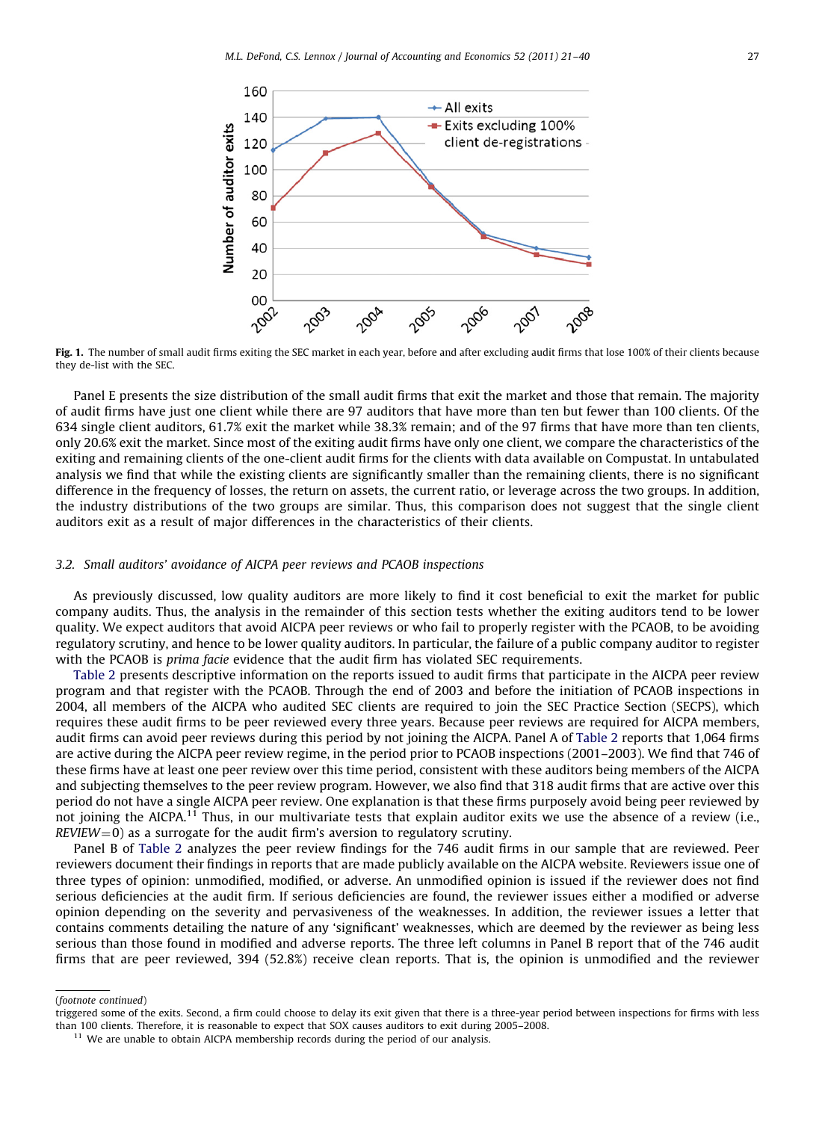<span id="page-6-0"></span>

Fig. 1. The number of small audit firms exiting the SEC market in each year, before and after excluding audit firms that lose 100% of their clients because they de-list with the SEC.

Panel E presents the size distribution of the small audit firms that exit the market and those that remain. The majority of audit firms have just one client while there are 97 auditors that have more than ten but fewer than 100 clients. Of the 634 single client auditors, 61.7% exit the market while 38.3% remain; and of the 97 firms that have more than ten clients, only 20.6% exit the market. Since most of the exiting audit firms have only one client, we compare the characteristics of the exiting and remaining clients of the one-client audit firms for the clients with data available on Compustat. In untabulated analysis we find that while the existing clients are significantly smaller than the remaining clients, there is no significant difference in the frequency of losses, the return on assets, the current ratio, or leverage across the two groups. In addition, the industry distributions of the two groups are similar. Thus, this comparison does not suggest that the single client auditors exit as a result of major differences in the characteristics of their clients.

# 3.2. Small auditors' avoidance of AICPA peer reviews and PCAOB inspections

As previously discussed, low quality auditors are more likely to find it cost beneficial to exit the market for public company audits. Thus, the analysis in the remainder of this section tests whether the exiting auditors tend to be lower quality. We expect auditors that avoid AICPA peer reviews or who fail to properly register with the PCAOB, to be avoiding regulatory scrutiny, and hence to be lower quality auditors. In particular, the failure of a public company auditor to register with the PCAOB is *prima facie* evidence that the audit firm has violated SEC requirements.

[Table 2](#page-7-0) presents descriptive information on the reports issued to audit firms that participate in the AICPA peer review program and that register with the PCAOB. Through the end of 2003 and before the initiation of PCAOB inspections in 2004, all members of the AICPA who audited SEC clients are required to join the SEC Practice Section (SECPS), which requires these audit firms to be peer reviewed every three years. Because peer reviews are required for AICPA members, audit firms can avoid peer reviews during this period by not joining the AICPA. Panel A of [Table 2](#page-7-0) reports that 1,064 firms are active during the AICPA peer review regime, in the period prior to PCAOB inspections (2001–2003). We find that 746 of these firms have at least one peer review over this time period, consistent with these auditors being members of the AICPA and subjecting themselves to the peer review program. However, we also find that 318 audit firms that are active over this period do not have a single AICPA peer review. One explanation is that these firms purposely avoid being peer reviewed by not joining the AICPA.<sup>11</sup> Thus, in our multivariate tests that explain auditor exits we use the absence of a review (i.e.,  $REVIEW = 0$ ) as a surrogate for the audit firm's aversion to regulatory scrutiny.

Panel B of [Table 2](#page-7-0) analyzes the peer review findings for the 746 audit firms in our sample that are reviewed. Peer reviewers document their findings in reports that are made publicly available on the AICPA website. Reviewers issue one of three types of opinion: unmodified, modified, or adverse. An unmodified opinion is issued if the reviewer does not find serious deficiencies at the audit firm. If serious deficiencies are found, the reviewer issues either a modified or adverse opinion depending on the severity and pervasiveness of the weaknesses. In addition, the reviewer issues a letter that contains comments detailing the nature of any 'significant' weaknesses, which are deemed by the reviewer as being less serious than those found in modified and adverse reports. The three left columns in Panel B report that of the 746 audit firms that are peer reviewed, 394 (52.8%) receive clean reports. That is, the opinion is unmodified and the reviewer

<sup>(</sup>footnote continued)

triggered some of the exits. Second, a firm could choose to delay its exit given that there is a three-year period between inspections for firms with less than 100 clients. Therefore, it is reasonable to expect that SOX causes auditors to exit during 2005–2008.

 $11$  We are unable to obtain AICPA membership records during the period of our analysis.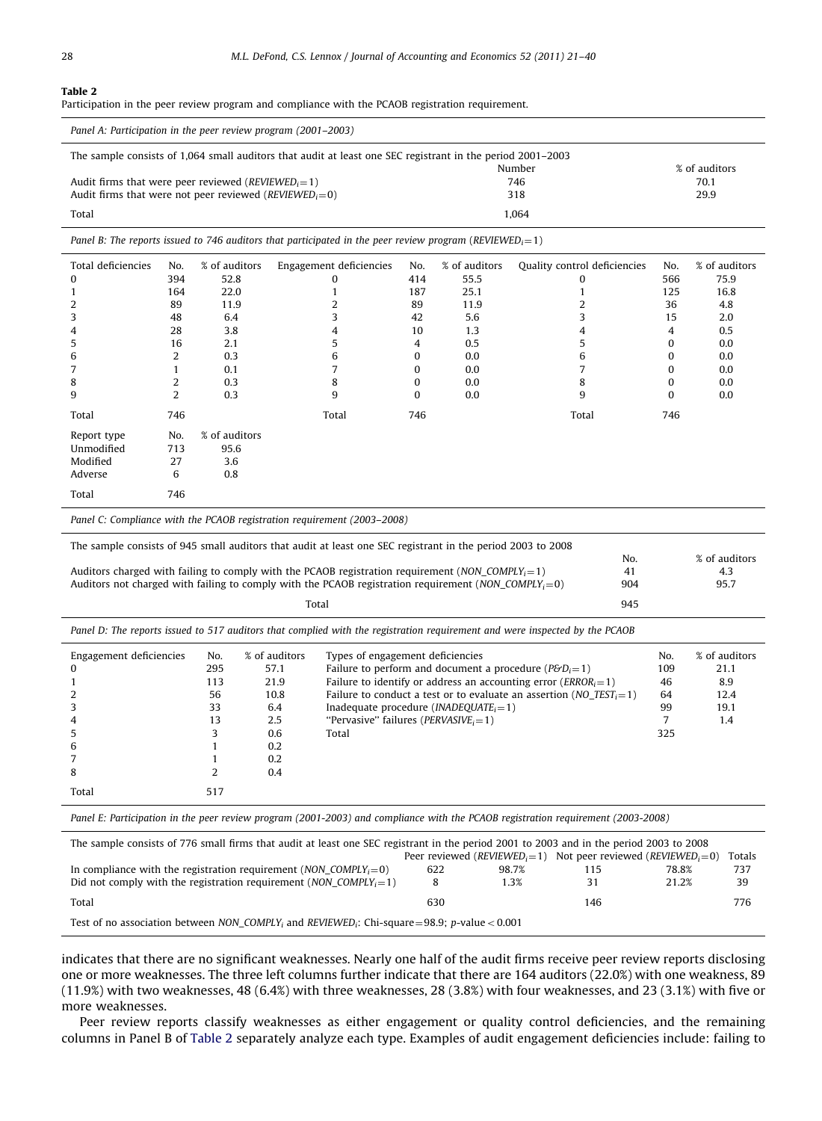#### <span id="page-7-0"></span>Table 2

| Participation in the peer review program and compliance with the PCAOB registration requirement. |  |  |  |  |  |
|--------------------------------------------------------------------------------------------------|--|--|--|--|--|
|--------------------------------------------------------------------------------------------------|--|--|--|--|--|

| Panel A: Participation in the peer review program (2001–2003)                                              |        |               |
|------------------------------------------------------------------------------------------------------------|--------|---------------|
| The sample consists of 1,064 small auditors that audit at least one SEC registrant in the period 2001–2003 |        |               |
|                                                                                                            | Number | % of auditors |
| Audit firms that were peer reviewed ( $REVIEWED_i = 1$ )                                                   | 746    | 70.1          |
| Audit firms that were not peer reviewed ( $REVIEWED_i = 0$ )                                               | 318    | 29.9          |
| Total                                                                                                      | 1.064  |               |

Panel B: The reports issued to 746 auditors that participated in the peer review program (REVIEWED<sub>i</sub>=1)

| Total deficiencies | No. | % of auditors | Engagement deficiencies | No.      | % of auditors | Quality control deficiencies | No.      | % of auditors |
|--------------------|-----|---------------|-------------------------|----------|---------------|------------------------------|----------|---------------|
| 0                  | 394 | 52.8          | 0                       | 414      | 55.5          | 0                            | 566      | 75.9          |
|                    | 164 | 22.0          |                         | 187      | 25.1          |                              | 125      | 16.8          |
| 2                  | 89  | 11.9          |                         | 89       | 11.9          |                              | 36       | 4.8           |
| 3                  | 48  | 6.4           | 3                       | 42       | 5.6           |                              | 15       | 2.0           |
| 4                  | 28  | 3.8           | 4                       | 10       | 1.3           | 4                            | 4        | 0.5           |
| 5                  | 16  | 2.1           | 5                       | 4        | 0.5           |                              | 0        | 0.0           |
| 6                  | 2   | 0.3           | 6                       | 0        | 0.0           | 6                            |          | 0.0           |
|                    |     | 0.1           |                         | 0        | 0.0           |                              | 0        | 0.0           |
| 8                  | 2   | 0.3           | 8                       | 0        | 0.0           | 8                            | 0        | 0.0           |
| 9                  | 2   | 0.3           | 9                       | $\bf{0}$ | 0.0           | 9                            | $\Omega$ | 0.0           |
| Total              | 746 |               | Total                   | 746      |               | Total                        | 746      |               |
| Report type        | No. | % of auditors |                         |          |               |                              |          |               |
| Unmodified         | 713 | 95.6          |                         |          |               |                              |          |               |
| Modified           | 27  | 3.6           |                         |          |               |                              |          |               |
| Adverse            | 6   | 0.8           |                         |          |               |                              |          |               |
| Total              | 746 |               |                         |          |               |                              |          |               |

Panel C: Compliance with the PCAOB registration requirement (2003–2008)

| The sample consists of 945 small auditors that audit at least one SEC registrant in the period 2003 to 2008      |     |               |
|------------------------------------------------------------------------------------------------------------------|-----|---------------|
|                                                                                                                  | No. | % of auditors |
| Auditors charged with failing to comply with the PCAOB registration requirement (NON COMPLY <sub>i</sub> =1)     | 41  | 4.3           |
| Auditors not charged with failing to comply with the PCAOB registration requirement (NON COMPLY <sub>i</sub> =0) | 904 | 95.7          |
| Total                                                                                                            | 945 |               |

Panel D: The reports issued to 517 auditors that complied with the registration requirement and were inspected by the PCAOB

| Engagement deficiencies | No. | % of auditors | Types of engagement deficiencies                                                | No. | % of auditors |
|-------------------------|-----|---------------|---------------------------------------------------------------------------------|-----|---------------|
| $\Omega$                | 295 | 57.1          | Failure to perform and document a procedure ( $P\&D_i=1$ )                      | 109 | 21.1          |
|                         | 113 | 21.9          | Failure to identify or address an accounting error ( $ERROR_i = 1$ )            | 46  | 8.9           |
|                         | 56  | 10.8          | Failure to conduct a test or to evaluate an assertion (NO TEST <sub>i</sub> =1) | 64  | 12.4          |
|                         | 33  | 6.4           | Inadequate procedure ( <i>INADEQUATE<sub>i</sub></i> =1)                        | 99  | 19.1          |
| $\overline{4}$          | 13  | 2.5           | "Pervasive" failures ( $PERVASIVE_i = 1$ )                                      |     | 1.4           |
|                         |     | 0.6           | Total                                                                           | 325 |               |
| 6                       |     | 0.2           |                                                                                 |     |               |
|                         |     | 0.2           |                                                                                 |     |               |
| 8                       |     | 0.4           |                                                                                 |     |               |
| Total                   | 517 |               |                                                                                 |     |               |

Panel E: Participation in the peer review program (2001-2003) and compliance with the PCAOB registration requirement (2003-2008)

| The sample consists of 776 small firms that audit at least one SEC registrant in the period 2001 to 2003 and in the period 2003 to 2008 |     |       |                                                                           |       |        |
|-----------------------------------------------------------------------------------------------------------------------------------------|-----|-------|---------------------------------------------------------------------------|-------|--------|
|                                                                                                                                         |     |       | Peer reviewed ( $REVIEWED_i = 1$ ) Not peer reviewed ( $REVIEWED_i = 0$ ) |       | Totals |
| In compliance with the registration requirement (NON COMPLY <sub>i</sub> =0)                                                            | 622 | 98.7% |                                                                           | 78.8% | 737    |
| Did not comply with the registration requirement (NON COMPLY <sub>i</sub> =1)                                                           | 8   | 1.3%  | 31                                                                        | 21.2% | 39     |
| Total                                                                                                                                   | 630 |       | 146                                                                       |       | 776    |
| Test of no association between NON COMPLY, and REVIEWED,: Chi-square=98.9; p-value < 0.001                                              |     |       |                                                                           |       |        |

indicates that there are no significant weaknesses. Nearly one half of the audit firms receive peer review reports disclosing one or more weaknesses. The three left columns further indicate that there are 164 auditors (22.0%) with one weakness, 89 (11.9%) with two weaknesses, 48 (6.4%) with three weaknesses, 28 (3.8%) with four weaknesses, and 23 (3.1%) with five or more weaknesses.

Peer review reports classify weaknesses as either engagement or quality control deficiencies, and the remaining columns in Panel B of Table 2 separately analyze each type. Examples of audit engagement deficiencies include: failing to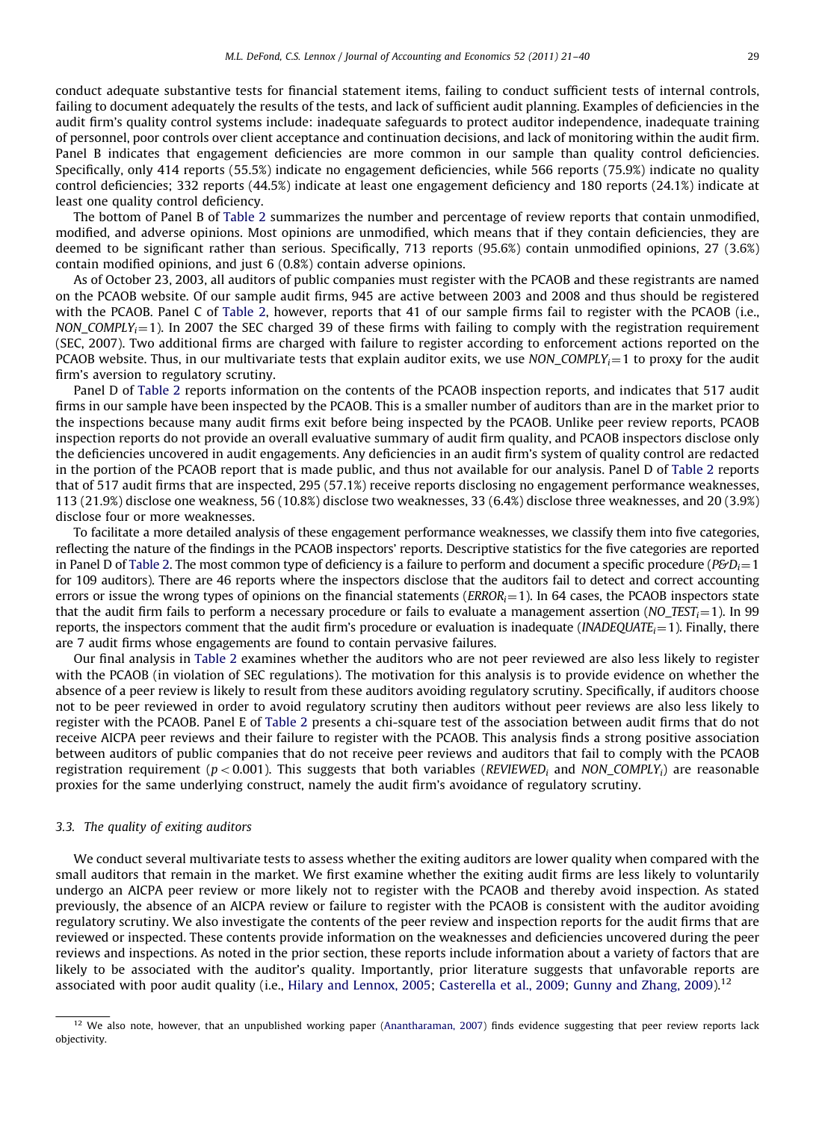conduct adequate substantive tests for financial statement items, failing to conduct sufficient tests of internal controls, failing to document adequately the results of the tests, and lack of sufficient audit planning. Examples of deficiencies in the audit firm's quality control systems include: inadequate safeguards to protect auditor independence, inadequate training of personnel, poor controls over client acceptance and continuation decisions, and lack of monitoring within the audit firm. Panel B indicates that engagement deficiencies are more common in our sample than quality control deficiencies. Specifically, only 414 reports (55.5%) indicate no engagement deficiencies, while 566 reports (75.9%) indicate no quality control deficiencies; 332 reports (44.5%) indicate at least one engagement deficiency and 180 reports (24.1%) indicate at least one quality control deficiency.

The bottom of Panel B of [Table 2](#page-7-0) summarizes the number and percentage of review reports that contain unmodified, modified, and adverse opinions. Most opinions are unmodified, which means that if they contain deficiencies, they are deemed to be significant rather than serious. Specifically, 713 reports (95.6%) contain unmodified opinions, 27 (3.6%) contain modified opinions, and just 6 (0.8%) contain adverse opinions.

As of October 23, 2003, all auditors of public companies must register with the PCAOB and these registrants are named on the PCAOB website. Of our sample audit firms, 945 are active between 2003 and 2008 and thus should be registered with the PCAOB. Panel C of [Table 2](#page-7-0), however, reports that 41 of our sample firms fail to register with the PCAOB (i.e., NON\_COMPLY<sub>i</sub>=1). In 2007 the SEC charged 39 of these firms with failing to comply with the registration requirement (SEC, 2007). Two additional firms are charged with failure to register according to enforcement actions reported on the PCAOB website. Thus, in our multivariate tests that explain auditor exits, we use NON\_COMPLY<sub>i</sub>=1 to proxy for the audit firm's aversion to regulatory scrutiny.

Panel D of [Table 2](#page-7-0) reports information on the contents of the PCAOB inspection reports, and indicates that 517 audit firms in our sample have been inspected by the PCAOB. This is a smaller number of auditors than are in the market prior to the inspections because many audit firms exit before being inspected by the PCAOB. Unlike peer review reports, PCAOB inspection reports do not provide an overall evaluative summary of audit firm quality, and PCAOB inspectors disclose only the deficiencies uncovered in audit engagements. Any deficiencies in an audit firm's system of quality control are redacted in the portion of the PCAOB report that is made public, and thus not available for our analysis. Panel D of [Table 2](#page-7-0) reports that of 517 audit firms that are inspected, 295 (57.1%) receive reports disclosing no engagement performance weaknesses, 113 (21.9%) disclose one weakness, 56 (10.8%) disclose two weaknesses, 33 (6.4%) disclose three weaknesses, and 20 (3.9%) disclose four or more weaknesses.

To facilitate a more detailed analysis of these engagement performance weaknesses, we classify them into five categories, reflecting the nature of the findings in the PCAOB inspectors' reports. Descriptive statistics for the five categories are reported in Panel D of [Table 2](#page-7-0). The most common type of deficiency is a failure to perform and document a specific procedure ( $P\&D_i=1$ for 109 auditors). There are 46 reports where the inspectors disclose that the auditors fail to detect and correct accounting errors or issue the wrong types of opinions on the financial statements ( $ERROR<sub>i</sub>=1$ ). In 64 cases, the PCAOB inspectors state that the audit firm fails to perform a necessary procedure or fails to evaluate a management assertion ( $NO_TEST_i=1$ ). In 99 reports, the inspectors comment that the audit firm's procedure or evaluation is inadequate (*INADEOUATE<sub>i</sub>*=1). Finally, there are 7 audit firms whose engagements are found to contain pervasive failures.

Our final analysis in [Table 2](#page-7-0) examines whether the auditors who are not peer reviewed are also less likely to register with the PCAOB (in violation of SEC regulations). The motivation for this analysis is to provide evidence on whether the absence of a peer review is likely to result from these auditors avoiding regulatory scrutiny. Specifically, if auditors choose not to be peer reviewed in order to avoid regulatory scrutiny then auditors without peer reviews are also less likely to register with the PCAOB. Panel E of [Table 2](#page-7-0) presents a chi-square test of the association between audit firms that do not receive AICPA peer reviews and their failure to register with the PCAOB. This analysis finds a strong positive association between auditors of public companies that do not receive peer reviews and auditors that fail to comply with the PCAOB registration requirement ( $p < 0.001$ ). This suggests that both variables (REVIEWED<sub>i</sub> and NON COMPLY<sub>i</sub>) are reasonable proxies for the same underlying construct, namely the audit firm's avoidance of regulatory scrutiny.

#### 3.3. The quality of exiting auditors

We conduct several multivariate tests to assess whether the exiting auditors are lower quality when compared with the small auditors that remain in the market. We first examine whether the exiting audit firms are less likely to voluntarily undergo an AICPA peer review or more likely not to register with the PCAOB and thereby avoid inspection. As stated previously, the absence of an AICPA review or failure to register with the PCAOB is consistent with the auditor avoiding regulatory scrutiny. We also investigate the contents of the peer review and inspection reports for the audit firms that are reviewed or inspected. These contents provide information on the weaknesses and deficiencies uncovered during the peer reviews and inspections. As noted in the prior section, these reports include information about a variety of factors that are likely to be associated with the auditor's quality. Importantly, prior literature suggests that unfavorable reports are associated with poor audit quality (i.e., [Hilary and Lennox, 2005;](#page-18-0) [Casterella et al., 2009](#page-18-0); [Gunny and Zhang, 2009\)](#page-18-0).<sup>12</sup>

<sup>&</sup>lt;sup>12</sup> We also note, however, that an unpublished working paper ([Anantharaman, 2007](#page-18-0)) finds evidence suggesting that peer review reports lack objectivity.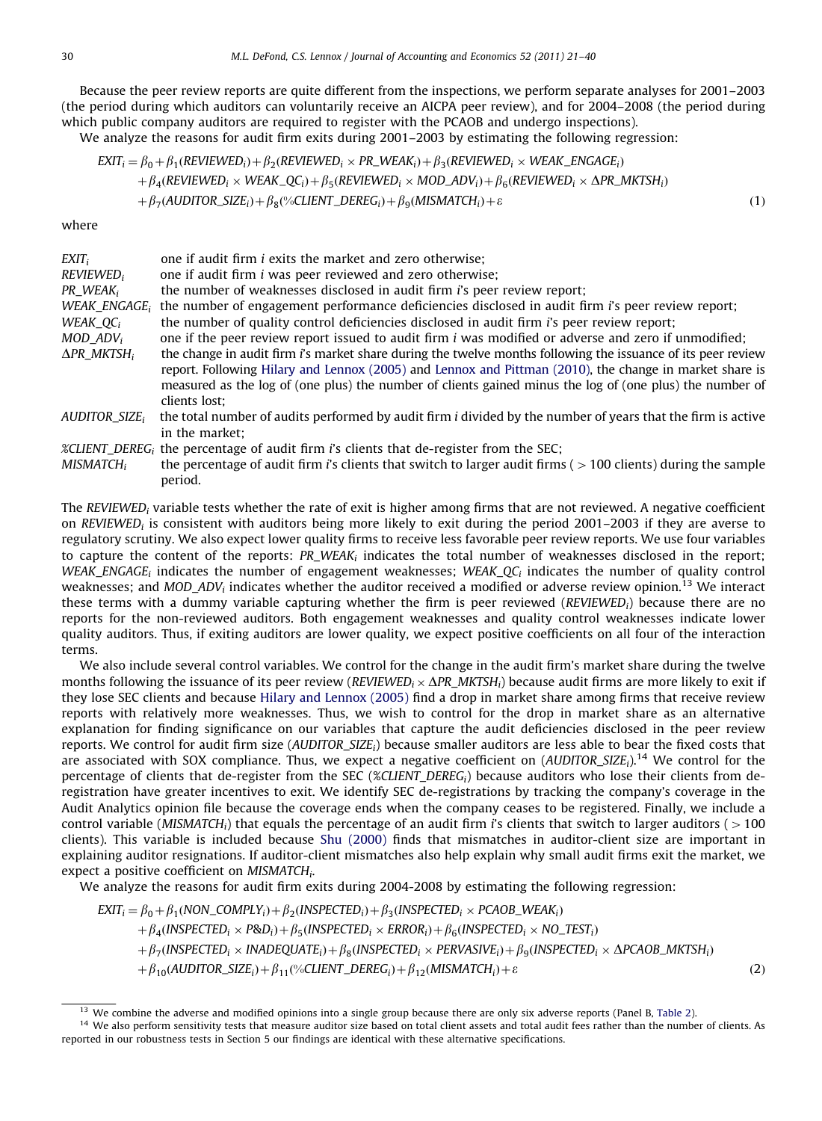Because the peer review reports are quite different from the inspections, we perform separate analyses for 2001–2003 (the period during which auditors can voluntarily receive an AICPA peer review), and for 2004–2008 (the period during which public company auditors are required to register with the PCAOB and undergo inspections).

We analyze the reasons for audit firm exits during 2001–2003 by estimating the following regression:

$$
EXT_{i} = \beta_{0} + \beta_{1}(REVIEWED_{i}) + \beta_{2}(REVIEWED_{i} \times PR_{i}) + \beta_{3}(REVIEWED_{i} \times WEAK_{i}) + \beta_{4}(REVIEWED_{i} \times WEAK_{i}) + \beta_{4}(REVIEWED_{i} \times WEAK_{i}) + \beta_{5}(REVIEWED_{i} \times MOD_{i}) + \beta_{6}(REVIEWED_{i} \times APR_{i}) + \beta_{7}(AUDITOR_{i}) + \beta_{8}(\%CLIENT_{i}) + \beta_{8}(MISMATCH_{i}) + \varepsilon
$$
\n(1)

where

| $EXIT_i$             | one if audit firm <i>i</i> exits the market and zero otherwise;                                                      |
|----------------------|----------------------------------------------------------------------------------------------------------------------|
| <b>REVIEWED</b>      | one if audit firm <i>i</i> was peer reviewed and zero otherwise;                                                     |
| PR WEAK <sub>i</sub> | the number of weaknesses disclosed in audit firm i's peer review report;                                             |
| <b>WEAK ENGAGE;</b>  | the number of engagement performance deficiencies disclosed in audit firm <i>i</i> 's peer review report;            |
| WEAK $OC_i$          | the number of quality control deficiencies disclosed in audit firm i's peer review report;                           |
| $MOD$ $ADV_i$        | one if the peer review report issued to audit firm <i>i</i> was modified or adverse and zero if unmodified;          |
| $\Delta PR$ MKTSH,   | the change in audit firm <i>i</i> 's market share during the twelve months following the issuance of its peer review |
|                      | report. Following Hilary and Lennox (2005) and Lennox and Pittman (2010), the change in market share is              |
|                      | measured as the log of (one plus) the number of clients gained minus the log of (one plus) the number of             |
|                      | clients lost;                                                                                                        |
| <b>AUDITOR SIZE</b>  | the total number of audits performed by audit firm <i>i</i> divided by the number of years that the firm is active   |
|                      | in the market:                                                                                                       |
|                      | <i>%CLIENT_DEREG<sub>i</sub></i> the percentage of audit firm <i>i</i> 's clients that de-register from the SEC;     |
| <b>MISMATCH</b>      | the percentage of audit firm $i$ 's clients that switch to larger audit firms ( $>$ 100 clients) during the sample   |
|                      |                                                                                                                      |

period.

The REVIEWED<sub>i</sub> variable tests whether the rate of exit is higher among firms that are not reviewed. A negative coefficient on REVIEWED<sub>i</sub> is consistent with auditors being more likely to exit during the period 2001–2003 if they are averse to regulatory scrutiny. We also expect lower quality firms to receive less favorable peer review reports. We use four variables to capture the content of the reports:  $PR\_WEAK_i$  indicates the total number of weaknesses disclosed in the report; WEAK\_ENGAGE<sub>i</sub> indicates the number of engagement weaknesses; WEAK\_QC<sub>i</sub> indicates the number of quality control weaknesses; and  $MOD_1ADV_i$  indicates whether the auditor received a modified or adverse review opinion.<sup>13</sup> We interact these terms with a dummy variable capturing whether the firm is peer reviewed ( $REVIEWED_i$ ) because there are no reports for the non-reviewed auditors. Both engagement weaknesses and quality control weaknesses indicate lower quality auditors. Thus, if exiting auditors are lower quality, we expect positive coefficients on all four of the interaction terms.

We also include several control variables. We control for the change in the audit firm's market share during the twelve months following the issuance of its peer review (REVIEWED<sub>i</sub>  $\times$  ΔPR\_MKTSH<sub>i</sub>) because audit firms are more likely to exit if they lose SEC clients and because [Hilary and Lennox \(2005\)](#page-18-0) find a drop in market share among firms that receive review reports with relatively more weaknesses. Thus, we wish to control for the drop in market share as an alternative explanation for finding significance on our variables that capture the audit deficiencies disclosed in the peer review reports. We control for audit firm size (AUDITOR  $SIZE_i$ ) because smaller auditors are less able to bear the fixed costs that are associated with SOX compliance. Thus, we expect a negative coefficient on  $(AUDITOR_SIZE_i)$ .<sup>14</sup> We control for the percentage of clients that de-register from the SEC (%CLIENT\_DEREG<sub>i</sub>) because auditors who lose their clients from deregistration have greater incentives to exit. We identify SEC de-registrations by tracking the company's coverage in the Audit Analytics opinion file because the coverage ends when the company ceases to be registered. Finally, we include a control variable (*MISMATCH<sub>i</sub>*) that equals the percentage of an audit firm *i*'s clients that switch to larger auditors ( $>100$ clients). This variable is included because [Shu \(2000\)](#page-19-0) finds that mismatches in auditor-client size are important in explaining auditor resignations. If auditor-client mismatches also help explain why small audit firms exit the market, we expect a positive coefficient on  $MISMATCH<sub>i</sub>$ .

We analyze the reasons for audit firm exits during 2004-2008 by estimating the following regression:

$$
EXT_{i} = \beta_{0} + \beta_{1}(NON\_COMPLY_{i}) + \beta_{2}(INSPECTED_{i}) + \beta_{3}(INSPECTED_{i} \times PCAOB\_WEAK_{i})
$$
  
+  $\beta_{4}(INSPECTED_{i} \times P\&D_{i}) + \beta_{5}(INSPECTED_{i} \times ERROR_{i}) + \beta_{6}(INSPECTED_{i} \times NO\_TEST_{i})$   
+  $\beta_{7}(INSPECTED_{i} \times INADEQUATE_{i}) + \beta_{8}(INSPECTED_{i} \times PERVASIVE_{i}) + \beta_{9}(INSPECTED_{i} \times \Delta PCAOB\_MKTSH_{i})$   
+  $\beta_{10}(AUDITION\_SIZE_{i}) + \beta_{11}(\%CLIENT\_DEREG_{i}) + \beta_{12}(MISMATCH_{i}) + \varepsilon$  (2)

 $13$  We combine the adverse and modified opinions into a single group because there are only six adverse reports (Panel B, [Table 2\)](#page-7-0).

<sup>&</sup>lt;sup>14</sup> We also perform sensitivity tests that measure auditor size based on total client assets and total audit fees rather than the number of clients. As reported in our robustness tests in Section 5 our findings are identical with these alternative specifications.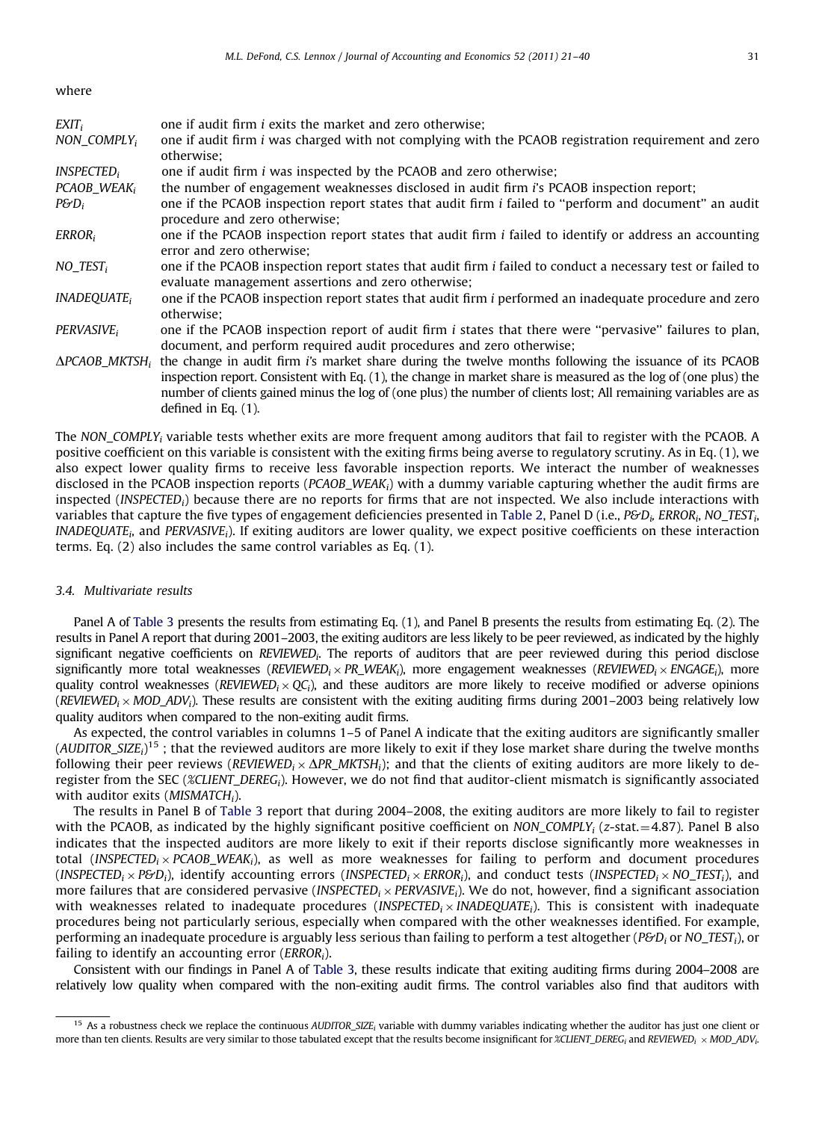where

| $EXIT_i$                   | one if audit firm <i>i</i> exits the market and zero otherwise:                                                                                                                                                                                                                                                                                                                                                    |
|----------------------------|--------------------------------------------------------------------------------------------------------------------------------------------------------------------------------------------------------------------------------------------------------------------------------------------------------------------------------------------------------------------------------------------------------------------|
| NON COMPLY $_i$            | one if audit firm <i>i</i> was charged with not complying with the PCAOB registration requirement and zero<br>otherwise:                                                                                                                                                                                                                                                                                           |
| $INSPECTED_i$              | one if audit firm <i>i</i> was inspected by the PCAOB and zero otherwise;                                                                                                                                                                                                                                                                                                                                          |
| PCAOB_WEAK;                | the number of engagement weaknesses disclosed in audit firm i's PCAOB inspection report;                                                                                                                                                                                                                                                                                                                           |
| $P\mathcal{G}^{\prime}D_i$ | one if the PCAOB inspection report states that audit firm <i>i</i> failed to "perform and document" an audit<br>procedure and zero otherwise;                                                                                                                                                                                                                                                                      |
| ERROR <sub>i</sub>         | one if the PCAOB inspection report states that audit firm <i>i</i> failed to identify or address an accounting<br>error and zero otherwise:                                                                                                                                                                                                                                                                        |
| $NO$ TEST,                 | one if the PCAOB inspection report states that audit firm <i>i</i> failed to conduct a necessary test or failed to<br>evaluate management assertions and zero otherwise;                                                                                                                                                                                                                                           |
| <i><b>INADEQUATE</b></i>   | one if the PCAOB inspection report states that audit firm i performed an inadequate procedure and zero<br>otherwise:                                                                                                                                                                                                                                                                                               |
| <b>PERVASIVE</b>           | one if the PCAOB inspection report of audit firm <i>i</i> states that there were "pervasive" failures to plan,<br>document, and perform required audit procedures and zero otherwise;                                                                                                                                                                                                                              |
|                            | $\Delta$ PCAOB_MKTSH <sub>i</sub> the change in audit firm <i>i's</i> market share during the twelve months following the issuance of its PCAOB<br>inspection report. Consistent with Eq. $(1)$ , the change in market share is measured as the log of (one plus) the<br>number of clients gained minus the log of (one plus) the number of clients lost; All remaining variables are as<br>defined in Eq. $(1)$ . |

The NON\_COMPLY<sub>i</sub> variable tests whether exits are more frequent among auditors that fail to register with the PCAOB. A positive coefficient on this variable is consistent with the exiting firms being averse to regulatory scrutiny. As in Eq. (1), we also expect lower quality firms to receive less favorable inspection reports. We interact the number of weaknesses disclosed in the PCAOB inspection reports ( $PCAOB_WEAK_i$ ) with a dummy variable capturing whether the audit firms are inspected (INSPECTED<sub>i</sub>) because there are no reports for firms that are not inspected. We also include interactions with variables that capture the five types of engagement deficiencies presented in [Table 2,](#page-7-0) Panel D (i.e.,  $P\&D_i$ ,  $EROR_i$ ,  $NO_TEST_i$ ,  $INADEQUATE<sub>i</sub>$ , and  $PERVASIVE<sub>i</sub>$ ). If exiting auditors are lower quality, we expect positive coefficients on these interaction terms. Eq. (2) also includes the same control variables as Eq. (1).

# 3.4. Multivariate results

Panel A of [Table 3](#page-11-0) presents the results from estimating Eq. (1), and Panel B presents the results from estimating Eq. (2). The results in Panel A report that during 2001–2003, the exiting auditors are less likely to be peer reviewed, as indicated by the highly significant negative coefficients on REVIEWED<sub>i</sub>. The reports of auditors that are peer reviewed during this period disclose significantly more total weaknesses (REVIEWED $_i\times$ PR\_WEAK $_i$ ), more engagement weaknesses (REVIEWED $_i\times$ ENGAGE $_i$ ), more quality control weaknesses (REVIEWED<sub>i</sub> × QC<sub>i</sub>), and these auditors are more likely to receive modified or adverse opinions (REVIEWED<sub>i</sub> × MOD\_ADV<sub>i</sub>). These results are consistent with the exiting auditing firms during 2001–2003 being relatively low quality auditors when compared to the non-exiting audit firms.

As expected, the control variables in columns 1–5 of Panel A indicate that the exiting auditors are significantly smaller (AUDITOR\_SIZE $_{\rm i}$ )<sup>15</sup> ; that the reviewed auditors are more likely to exit if they lose market share during the twelve months following their peer reviews (REVIEWED $_i \times \Delta PR\_MKTSH_i);$  and that the clients of exiting auditors are more likely to deregister from the SEC ( $\mathscr{K}CLIENT\_DEREG_i$ ). However, we do not find that auditor-client mismatch is significantly associated with auditor exits ( $MISMATCH<sub>i</sub>$ ).

The results in Panel B of [Table 3](#page-11-0) report that during 2004–2008, the exiting auditors are more likely to fail to register with the PCAOB, as indicated by the highly significant positive coefficient on NON\_COMPLY<sub>i</sub> (z-stat. $=4.87$ ). Panel B also indicates that the inspected auditors are more likely to exit if their reports disclose significantly more weaknesses in total (INSPECTED<sub>i</sub> $\times$  PCAOB\_WEAK<sub>i</sub>), as well as more weaknesses for failing to perform and document procedures (INSPECTED<sub>i</sub>  $\times$  P&D<sub>i</sub>), identify accounting errors (INSPECTED<sub>i</sub>  $\times$  ERROR<sub>i</sub>), and conduct tests (INSPECTED<sub>i</sub>  $\times$  NO\_TEST<sub>i</sub>), and more failures that are considered pervasive (INSPECTED $_i\times$ PERVASIVE $_i$ ). We do not, however, find a significant association with weaknesses related to inadequate procedures (INSPECTED<sub>i</sub> $\times$ INADEQUATE<sub>i</sub>). This is consistent with inadequate procedures being not particularly serious, especially when compared with the other weaknesses identified. For example, performing an inadequate procedure is arguably less serious than failing to perform a test altogether ( $P\&D_i$  or NO\_TEST<sub>i</sub>), or failing to identify an accounting error ( $ERROR<sub>i</sub>$ ).

Consistent with our findings in Panel A of [Table 3,](#page-11-0) these results indicate that exiting auditing firms during 2004–2008 are relatively low quality when compared with the non-exiting audit firms. The control variables also find that auditors with

<sup>&</sup>lt;sup>15</sup> As a robustness check we replace the continuous AUDITOR SIZE; variable with dummy variables indicating whether the auditor has just one client or more than ten clients. Results are very similar to those tabulated except that the results become insignificant for %CLIENT\_DEREG<sub>i</sub> and REVIEWED<sub>i</sub>  $\times$  MOD\_ADV<sub>i</sub>.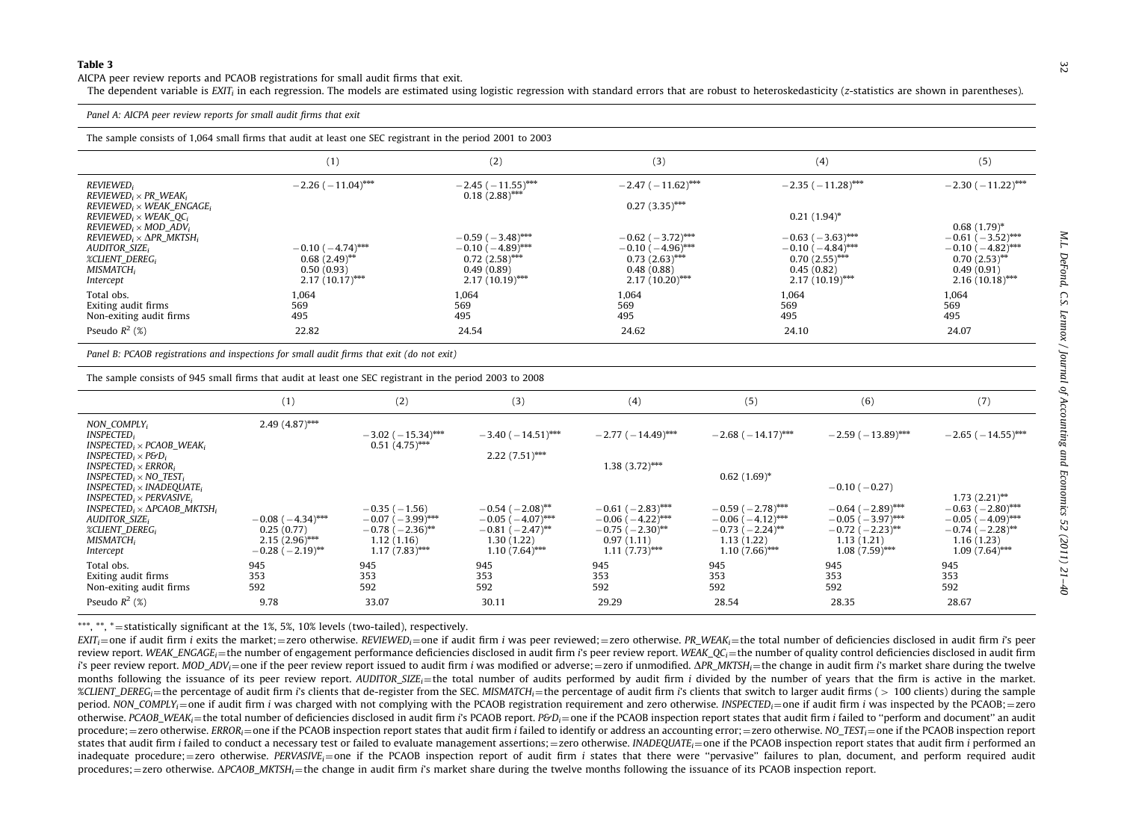#### <span id="page-11-0"></span>AICPA peer review reports and PCAOB registrations for small audit firms that exit.

The dependent variable is EXIT<sub>i</sub> in each regression. The models are estimated using logistic regression with standard errors that are robust to heteroskedasticity (z-statistics are shown in parentheses).

Panel A: AICPA peer review reports for small audit firms that exit

The sample consists of 1,064 small firms that audit at least one SEC registrant in the period 2001 to 2003

|                                                             | (1)                             | (2)                                         | (3)                                   | (4)                            | (5)                           |
|-------------------------------------------------------------|---------------------------------|---------------------------------------------|---------------------------------------|--------------------------------|-------------------------------|
| <b>REVIEWED</b><br>$REVIEWED_i \times PR$ WEAK <sub>i</sub> | $-2.26$ ( $-11.04$ )***         | $-2.45$ ( $-11.55$ )***<br>$0.18(2.88)$ *** | $-2.47$ ( $-11.62$ )***               | $-2.35$ ( $-11.28$ )***        | $-2.30$ ( $-11.22$ )***       |
| $REVIEWED_i \times WEAK$ $ENGAGE_i$                         |                                 |                                             | $0.27(3.35)$ <sup>stolet</sup>        |                                |                               |
| $REVIEWED_i \times WEAK$ QC <sub>i</sub>                    |                                 |                                             |                                       | $0.21(1.94)^*$                 |                               |
| $REVIEWEDi \times MOD\_ADVi$                                |                                 |                                             |                                       |                                | $0.68(1.79)^*$                |
| $REVIEWED_i \times \Delta PR$ MKTSH <sub>i</sub>            |                                 | $-0.59$ ( $-3.48$ )***                      | $-0.62$ ( $-3.72$ ) <sup>\$6868</sup> | $-0.63$ ( $-3.63$ )***         | $-0.61$ ( $-3.52$ )***        |
| AUDITOR_SIZE <sub>i</sub>                                   | $-0.10$ ( $-4.74$ )***          | $-0.10$ ( $-4.89$ ) <sup>***</sup>          | $-0.10$ ( $-4.96$ )***                | $-0.10$ ( $-4.84$ )***         | $-0.10$ ( $-4.82$ )***        |
| %CLIENT DEREG <sub>i</sub>                                  | $0.68(2.49)$ **                 | $0.72$ $(2.58)$ <sup>stokok</sup>           | $0.73(2.63)$ <sup>40404</sup>         | $0.70(2.55)$ <sup>***</sup>    | $0.70(2.53)$ **               |
| <b>MISMATCH</b> <sub>i</sub>                                | 0.50(0.93)                      | 0.49(0.89)                                  | 0.48(0.88)                            | 0.45(0.82)                     | 0.49(0.91)                    |
| Intercept                                                   | $2.17(10.17)$ <sup>stokok</sup> | $2.17(10.19)^{*}$                           | $2.17(10.20)$ <sup>stotok</sup>       | $2.17(10.19)$ <sup>Nojcy</sup> | $2.16(10.18)$ <sup>4040</sup> |
| Total obs.                                                  | 1,064                           | 1,064                                       | 1,064                                 | 1,064                          | 1,064                         |
| Exiting audit firms                                         | 569                             | 569                                         | 569                                   | 569                            | 569                           |
| Non-exiting audit firms                                     | 495                             | 495                                         | 495                                   | 495                            | 495                           |
| Pseudo $R^2$ (%)                                            | 22.82                           | 24.54                                       | 24.62                                 | 24.10                          | 24.07                         |

Panel B: PCAOB registrations and inspections for small audit firms that exit (do not exit)

The sample consists of 945 small firms that audit at least one SEC registrant in the period 2003 to 2008

|                                                                                                                                                                                 | (1)                                                                                              | (2)                                                                                                              | (3)                                                                                                        | (4)                                                                                                                      | (5)                                                                                                                                                | (6)                                                                                                                                       | (7)                                                                                                     |
|---------------------------------------------------------------------------------------------------------------------------------------------------------------------------------|--------------------------------------------------------------------------------------------------|------------------------------------------------------------------------------------------------------------------|------------------------------------------------------------------------------------------------------------|--------------------------------------------------------------------------------------------------------------------------|----------------------------------------------------------------------------------------------------------------------------------------------------|-------------------------------------------------------------------------------------------------------------------------------------------|---------------------------------------------------------------------------------------------------------|
| NON COMPLY,<br><b>INSPECTED</b><br>INSPECTED <sub>i</sub> $\times$ PCAOB WEAK <sub>i</sub><br>$INSPECTED_i \times P\&D_i$                                                       | $2.49(4.87)$ <sup>NoRok</sup>                                                                    | $-3.02$ ( $-15.34$ )***<br>$0.51(4.75)$ <sup>***</sup>                                                           | $-3.40$ ( $-14.51$ )***<br>$2.22(7.51)^{*opt}$                                                             | $-2.77(-14.49)^{404}$                                                                                                    | $-2.68$ ( $-14.17$ ) <sup>***</sup>                                                                                                                | $-2.59(-13.89)^{400}$                                                                                                                     | $-2.65$ ( $-14.55$ )***                                                                                 |
| $INSPECTED_i \times ERROR_i$<br>$INSPECTED_i \times NO_TEST_i$<br>$INSPECTED_i \times INADEOUATE_i$<br>$INSPECTED_i \times PERVASIVE_i$                                         |                                                                                                  |                                                                                                                  |                                                                                                            | $1.38(3.72)$ <sup>****</sup>                                                                                             | $0.62(1.69)^*$                                                                                                                                     | $-0.10(-0.27)$                                                                                                                            | $1.73$ $(2.21)$ <sup>**</sup>                                                                           |
| INSPECTED <sub>i</sub> $\times$ $\Delta$ PCAOB MKTSH <sub>i</sub><br><b>AUDITOR SIZE</b><br>$\mathscr{K}\text{CLIENT}$ DEREG <sub>i</sub><br>MISMATCH <sub>i</sub><br>Intercept | $-0.08$ ( $-4.34$ )****<br>0.25(0.77)<br>$2.15(2.96)$ <sup>stolet</sup><br>$-0.28$ ( $-2.19$ )** | $-0.35(-1.56)$<br>$-0.07$ ( $-3.99$ )****<br>$-0.78$ ( $-2.36$ )**<br>1.12(1.16)<br>$1.17(7.83)$ <sup>****</sup> | $-0.54$ ( $-2.08$ )**<br>$-0.05$ ( $-4.07$ )***<br>$-0.81$ ( $-2.47$ )**<br>1.30(1.22)<br>$1.10(7.64)$ *** | $-0.61$ ( $-2.83$ )***<br>$-0.06$ ( $-4.22$ )***<br>$-0.75$ ( $-2.30$ ) <sup>***</sup><br>0.97(1.11)<br>$1.11(7.73)^{*}$ | $-0.59$ ( $-2.78$ )***<br>$-0.06$ ( $-4.12$ ) <sup>***</sup><br>$-0.73$ ( $-2.24$ ) <sup>***</sup><br>1.13(1.22)<br>$1.10(7.66)$ <sup>stokok</sup> | $-0.64$ ( $-2.89$ )***<br>$-0.05$ ( $-3.97$ )***<br>$-0.72$ ( $-2.23$ ) <sup>***</sup><br>1.13(1.21)<br>$1.08$ $(7.59)$ <sup>stokok</sup> | $-0.63$ ( $-2.80$ )***<br>$-0.05$ ( $-4.09$ )***<br>$-0.74(-2.28)$ **<br>1.16(1.23)<br>$1.09(7.64)$ *** |
| Total obs.<br>Exiting audit firms<br>Non-exiting audit firms                                                                                                                    | 945<br>353<br>592                                                                                | 945<br>353<br>592                                                                                                | 945<br>353<br>592                                                                                          | 945<br>353<br>592                                                                                                        | 945<br>353<br>592                                                                                                                                  | 945<br>353<br>592                                                                                                                         | 945<br>353<br>592                                                                                       |
| Pseudo $R^2$ (%)                                                                                                                                                                | 9.78                                                                                             | 33.07                                                                                                            | 30.11                                                                                                      | 29.29                                                                                                                    | 28.54                                                                                                                                              | 28.35                                                                                                                                     | 28.67                                                                                                   |

\*\*\*, \*\*, \*=statistically significant at the 1%, 5%, 10% levels (two-tailed), respectively.

 $EXIT_i =$ one if audit firm *i* exits the market; = zero otherwise. REVIEWED<sub>i</sub> = one if audit firm *i* was peer reviewed; = zero otherwise. PR\_WEAK<sub>i</sub> = the total number of deficiencies disclosed in audit firm *i*'s peer review report. WEAK\_ENGAGE<sub>i</sub>=the number of engagement performance deficiencies disclosed in audit firm i's peer review report. WEAK\_QC<sub>i</sub>=the number of quality control deficiencies disclosed in audit firm  $i$ 's peer review report. MOD ADV<sub>i</sub>=one if the peer review report issued to audit firm *i* was modified or adverse; = zero if unmodified.  $\Delta PR$  MKTSH<sub>i</sub>=the change in audit firm i's market share during the twelve months following the issuance of its peer review report. AUDITOR SIZE<sub>i</sub> the total number of audits performed by audit firm i divided by the number of years that the firm is active in the market. %CLIENT\_DEREG<sub>i</sub>=the percentage of audit firm i's clients that de-register from the SEC. MISMATCH<sub>i</sub>=the percentage of audit firm i's clients that switch to larger audit firms (> 100 clients) during the sample period. NON\_COMPLY<sub>i</sub>=one if audit firm i was charged with not complying with the PCAOB registration requirement and zero otherwise. INSPECTED<sub>i</sub>=one if audit firm i was inspected by the PCAOB;=zero otherwise. PCAOB WEAK<sub>i</sub>=the total number of deficiencies disclosed in audit firm i's PCAOB report. P&D<sub>i</sub>=one if the PCAOB inspection report states that audit firm i failed to "perform and document" an audit procedure; = zero otherwise. ERROR<sub>i</sub> = one if the PCAOB inspection report states that audit firm i failed to identify or address an accounting error; = zero otherwise. NO TEST<sub>i</sub> = one if the PCAOB inspection report states that audit firm i failed to conduct a necessary test or failed to evaluate management assertions; = zero otherwise. INADEQUATE<sub>i</sub>=one if the PCAOB inspection report states that audit firm i performed an inadequate procedure;=zero otherwise. PERVASIVE<sub>i</sub>=one if the PCAOB inspection report of audit firm *i* states that there were "pervasive" failures to plan, document, and perform required audit procedures;=zero otherwise.  $\Delta PCAOB_MKTSH_i$ =the change in audit firm *i*'s market share during the twelve months following the issuance of its PCAOB inspection report.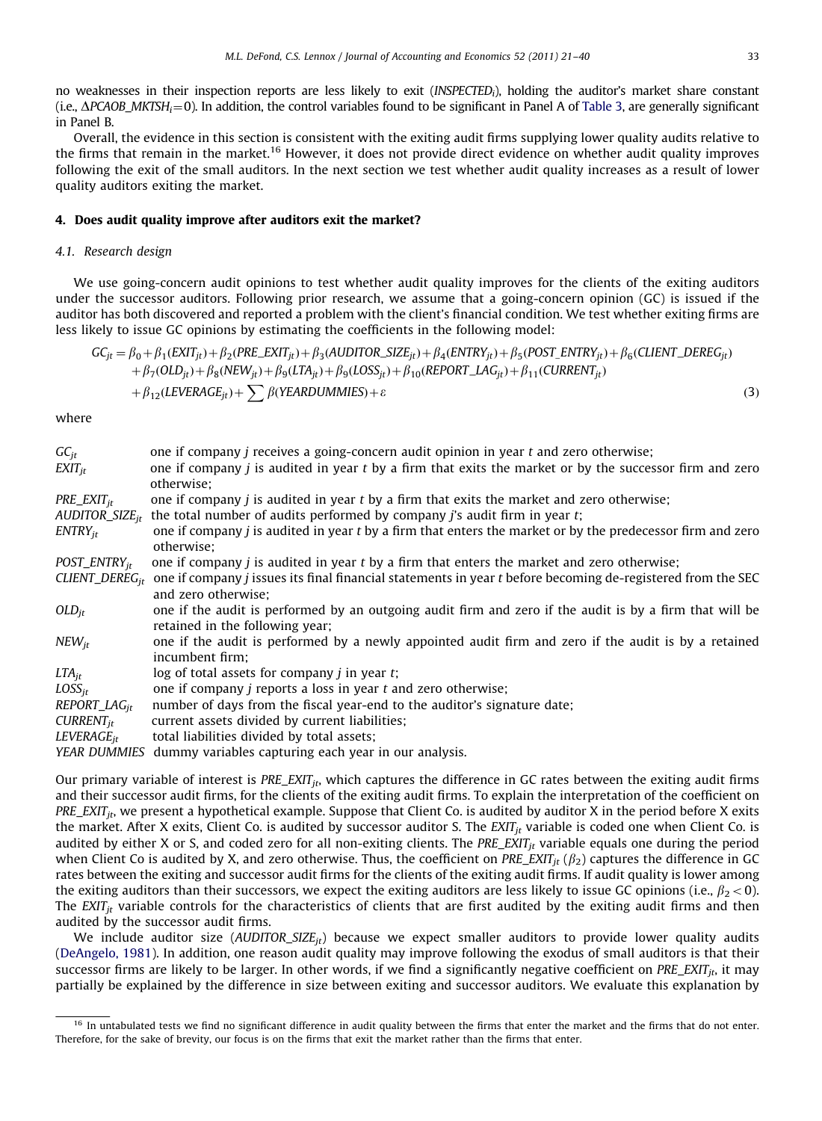no weaknesses in their inspection reports are less likely to exit (INSPECTED<sub>i</sub>), holding the auditor's market share constant (i.e.,  $\Delta PCAOB$  MKTSH<sub>i</sub>=0). In addition, the control variables found to be significant in Panel A of [Table 3](#page-11-0), are generally significant in Panel B.

Overall, the evidence in this section is consistent with the exiting audit firms supplying lower quality audits relative to the firms that remain in the market.<sup>16</sup> However, it does not provide direct evidence on whether audit quality improves following the exit of the small auditors. In the next section we test whether audit quality increases as a result of lower quality auditors exiting the market.

#### 4. Does audit quality improve after auditors exit the market?

#### 4.1. Research design

We use going-concern audit opinions to test whether audit quality improves for the clients of the exiting auditors under the successor auditors. Following prior research, we assume that a going-concern opinion (GC) is issued if the auditor has both discovered and reported a problem with the client's financial condition. We test whether exiting firms are less likely to issue GC opinions by estimating the coefficients in the following model:

$$
GC_{jt} = \beta_0 + \beta_1 (EXIT_{jt}) + \beta_2 (PRE\_EXIT_{jt}) + \beta_3 (AUDITOR\_SIZE_{jt}) + \beta_4 (ENTRY_{jt}) + \beta_5 (POST\_ENTERY_{jt}) + \beta_6 (CLIENT\_DEREG_{jt})
$$
  
+  $\beta_7 (OLD_{jt}) + \beta_8 (NEW_{jt}) + \beta_9 (LTA_{jt}) + \beta_9 (LOSS_{jt}) + \beta_{10} (REPORT\_LAG_{jt}) + \beta_{11} (CURRENT_{jt})$   
+  $\beta_{12} (LEVERAGE_{jt}) + \sum \beta (YEARDUMMIES) + \varepsilon$  (3)

where

| $GC_{it}$                | one if company $j$ receives a going-concern audit opinion in year $t$ and zero otherwise;                                                                                   |
|--------------------------|-----------------------------------------------------------------------------------------------------------------------------------------------------------------------------|
| $EXIT_{it}$              | one if company <i>j</i> is audited in year <i>t</i> by a firm that exits the market or by the successor firm and zero                                                       |
|                          | otherwise;                                                                                                                                                                  |
| $PRE\_EXIT_{it}$         | one if company $j$ is audited in year $t$ by a firm that exits the market and zero otherwise;                                                                               |
|                          | AUDITOR_SIZE <sub>it</sub> the total number of audits performed by company j's audit firm in year t;                                                                        |
| $ENTRY_{it}$             | one if company <i>j</i> is audited in year <i>t</i> by a firm that enters the market or by the predecessor firm and zero<br>otherwise;                                      |
| POST_ENTRY <sub>it</sub> | one if company $j$ is audited in year $t$ by a firm that enters the market and zero otherwise;                                                                              |
|                          | CLIENT_DEREG <sub>it</sub> one if company <i>j</i> issues its final financial statements in year <i>t</i> before becoming de-registered from the SEC<br>and zero otherwise: |
| $OLD_{it}$               | one if the audit is performed by an outgoing audit firm and zero if the audit is by a firm that will be<br>retained in the following year;                                  |
| $NEW_{it}$               | one if the audit is performed by a newly appointed audit firm and zero if the audit is by a retained<br>incumbent firm:                                                     |
| $LTA_{it}$               | $log$ of total assets for company <i>i</i> in year <i>t</i> ;                                                                                                               |
| $LOSS_{it}$              | one if company <i>j</i> reports a loss in year <i>t</i> and zero otherwise;                                                                                                 |
| REPORT_LAG <sub>it</sub> | number of days from the fiscal year-end to the auditor's signature date;                                                                                                    |
| $CURRENT_{it}$           | current assets divided by current liabilities;                                                                                                                              |
| $LEVERAGE_{it}$          | total liabilities divided by total assets;                                                                                                                                  |
|                          | YEAR DUMMIES dummy variables capturing each year in our analysis.                                                                                                           |

Our primary variable of interest is  $PRE\_EXIT_{it}$ , which captures the difference in GC rates between the exiting audit firms and their successor audit firms, for the clients of the exiting audit firms. To explain the interpretation of the coefficient on  $PRE\_EXIT_{it}$ , we present a hypothetical example. Suppose that Client Co. is audited by auditor X in the period before X exits the market. After X exits, Client Co. is audited by successor auditor S. The  $EXIT_{it}$  variable is coded one when Client Co. is audited by either X or S, and coded zero for all non-exiting clients. The PRE\_EXIT<sub>it</sub> variable equals one during the period when Client Co is audited by X, and zero otherwise. Thus, the coefficient on PRE\_EXIT<sub>it</sub> ( $\beta_2$ ) captures the difference in GC rates between the exiting and successor audit firms for the clients of the exiting audit firms. If audit quality is lower among the exiting auditors than their successors, we expect the exiting auditors are less likely to issue GC opinions (i.e.,  $\beta_2$  < 0). The  $EXIT_{it}$  variable controls for the characteristics of clients that are first audited by the exiting audit firms and then audited by the successor audit firms.

We include auditor size (AUDITOR\_SIZE<sub>it</sub>) because we expect smaller auditors to provide lower quality audits ([DeAngelo, 1981\)](#page-18-0). In addition, one reason audit quality may improve following the exodus of small auditors is that their successor firms are likely to be larger. In other words, if we find a significantly negative coefficient on  $PRE\_EXT_{i\upsilon}$ , it may partially be explained by the difference in size between exiting and successor auditors. We evaluate this explanation by

 $^{16}$  In untabulated tests we find no significant difference in audit quality between the firms that enter the market and the firms that do not enter. Therefore, for the sake of brevity, our focus is on the firms that exit the market rather than the firms that enter.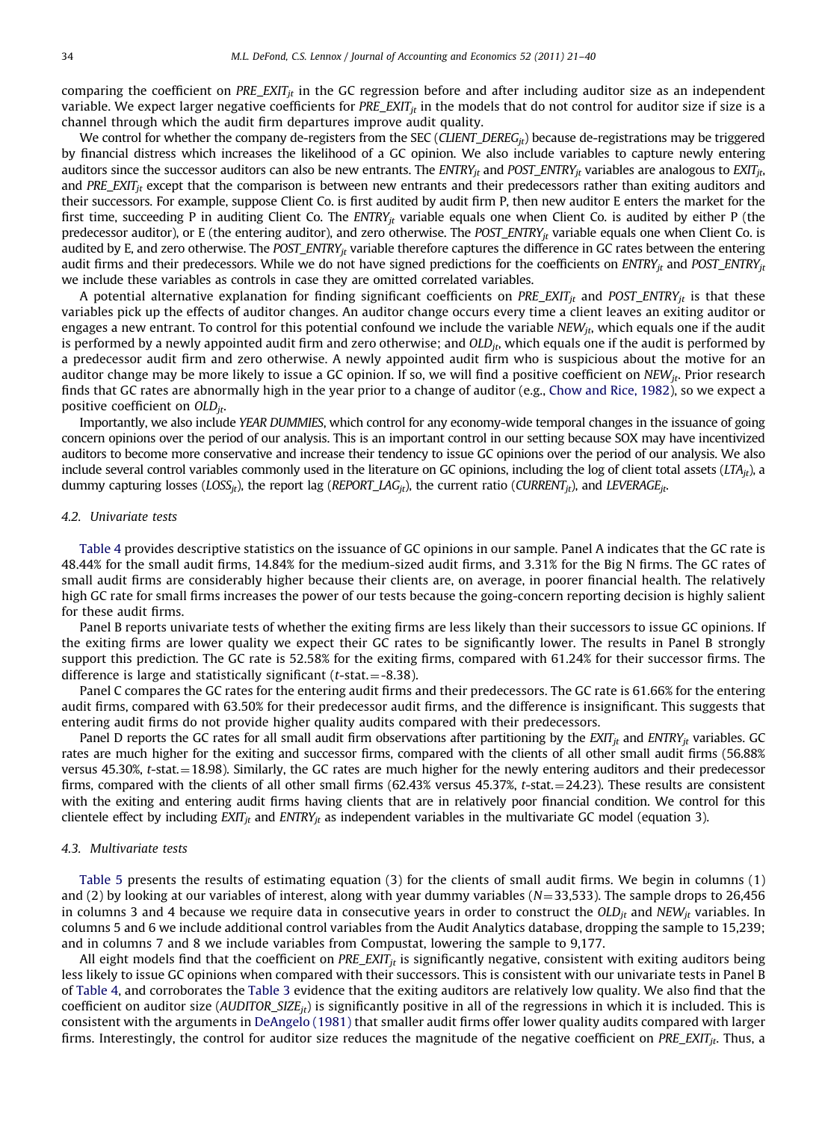comparing the coefficient on  $PRE\_EXIT_{it}$  in the GC regression before and after including auditor size as an independent variable. We expect larger negative coefficients for  $PRE\_EXIT_{it}$  in the models that do not control for auditor size if size is a channel through which the audit firm departures improve audit quality.

We control for whether the company de-registers from the SEC (CLIENT\_DEREG<sub>it</sub>) because de-registrations may be triggered by financial distress which increases the likelihood of a GC opinion. We also include variables to capture newly entering auditors since the successor auditors can also be new entrants. The  $ENTRY_{it}$  and POST\_ENTRY<sub>it</sub> variables are analogous to  $EXT_{it}$ and PRE\_EXIT<sub>it</sub> except that the comparison is between new entrants and their predecessors rather than exiting auditors and their successors. For example, suppose Client Co. is first audited by audit firm P, then new auditor E enters the market for the first time, succeeding P in auditing Client Co. The ENTRY $_{jt}$  variable equals one when Client Co. is audited by either P (the predecessor auditor), or E (the entering auditor), and zero otherwise. The POST\_ENTRY<sub>jt</sub> variable equals one when Client Co. is audited by E, and zero otherwise. The POST\_ENTRY $_{it}$  variable therefore captures the difference in GC rates between the entering audit firms and their predecessors. While we do not have signed predictions for the coefficients on  $ENTRY_{it}$  and  $POST\_ENTRY_{it}$ we include these variables as controls in case they are omitted correlated variables.

A potential alternative explanation for finding significant coefficients on PRE\_EXIT $_{it}$  and POST\_ENTRY<sub>it</sub> is that these variables pick up the effects of auditor changes. An auditor change occurs every time a client leaves an exiting auditor or engages a new entrant. To control for this potential confound we include the variable  $NEW_{it}$ , which equals one if the audit is performed by a newly appointed audit firm and zero otherwise; and  $OLD_{it}$ , which equals one if the audit is performed by a predecessor audit firm and zero otherwise. A newly appointed audit firm who is suspicious about the motive for an auditor change may be more likely to issue a GC opinion. If so, we will find a positive coefficient on  $NEW_{it}$ . Prior research finds that GC rates are abnormally high in the year prior to a change of auditor (e.g., [Chow and Rice, 1982\)](#page-18-0), so we expect a positive coefficient on  $OLD_{it}$ .

Importantly, we also include YEAR DUMMIES, which control for any economy-wide temporal changes in the issuance of going concern opinions over the period of our analysis. This is an important control in our setting because SOX may have incentivized auditors to become more conservative and increase their tendency to issue GC opinions over the period of our analysis. We also include several control variables commonly used in the literature on GC opinions, including the log of client total assets ( $LTA_{it}$ ), a dummy capturing losses (LOSS<sub>it</sub>), the report lag (REPORT\_LAG<sub>it</sub>), the current ratio (CURRENT<sub>it</sub>), and LEVERAGE<sub>it</sub>.

#### 4.2. Univariate tests

[Table 4](#page-14-0) provides descriptive statistics on the issuance of GC opinions in our sample. Panel A indicates that the GC rate is 48.44% for the small audit firms, 14.84% for the medium-sized audit firms, and 3.31% for the Big N firms. The GC rates of small audit firms are considerably higher because their clients are, on average, in poorer financial health. The relatively high GC rate for small firms increases the power of our tests because the going-concern reporting decision is highly salient for these audit firms.

Panel B reports univariate tests of whether the exiting firms are less likely than their successors to issue GC opinions. If the exiting firms are lower quality we expect their GC rates to be significantly lower. The results in Panel B strongly support this prediction. The GC rate is 52.58% for the exiting firms, compared with 61.24% for their successor firms. The difference is large and statistically significant ( $t$ -stat. $=$ -8.38).

Panel C compares the GC rates for the entering audit firms and their predecessors. The GC rate is 61.66% for the entering audit firms, compared with 63.50% for their predecessor audit firms, and the difference is insignificant. This suggests that entering audit firms do not provide higher quality audits compared with their predecessors.

Panel D reports the GC rates for all small audit firm observations after partitioning by the  $EXIT_{it}$  and  $ENTRY_{it}$  variables. GC rates are much higher for the exiting and successor firms, compared with the clients of all other small audit firms (56.88% versus 45.30%,  $t$ -stat. $=18.98$ ). Similarly, the GC rates are much higher for the newly entering auditors and their predecessor firms, compared with the clients of all other small firms  $(62.43\%)$  versus  $45.37\%$ ,  $t$ -stat. $=$   $24.23$ ). These results are consistent with the exiting and entering audit firms having clients that are in relatively poor financial condition. We control for this clientele effect by including  $EXIT_{it}$  and  $ENTRY_{it}$  as independent variables in the multivariate GC model (equation 3).

#### 4.3. Multivariate tests

[Table 5](#page-15-0) presents the results of estimating equation (3) for the clients of small audit firms. We begin in columns (1) and (2) by looking at our variables of interest, along with year dummy variables ( $N=33,533$ ). The sample drops to 26,456 in columns 3 and 4 because we require data in consecutive years in order to construct the  $OLD_{it}$  and  $NEW_{it}$  variables. In columns 5 and 6 we include additional control variables from the Audit Analytics database, dropping the sample to 15,239; and in columns 7 and 8 we include variables from Compustat, lowering the sample to 9,177.

All eight models find that the coefficient on PRE\_EXIT $_{it}$  is significantly negative, consistent with exiting auditors being less likely to issue GC opinions when compared with their successors. This is consistent with our univariate tests in Panel B of [Table 4](#page-14-0), and corroborates the [Table 3](#page-11-0) evidence that the exiting auditors are relatively low quality. We also find that the coefficient on auditor size (AUDITOR\_SIZE $_{jt}$ ) is significantly positive in all of the regressions in which it is included. This is consistent with the arguments in [DeAngelo \(1981\)](#page-18-0) that smaller audit firms offer lower quality audits compared with larger firms. Interestingly, the control for auditor size reduces the magnitude of the negative coefficient on PRE\_EXIT<sub>it</sub>. Thus, a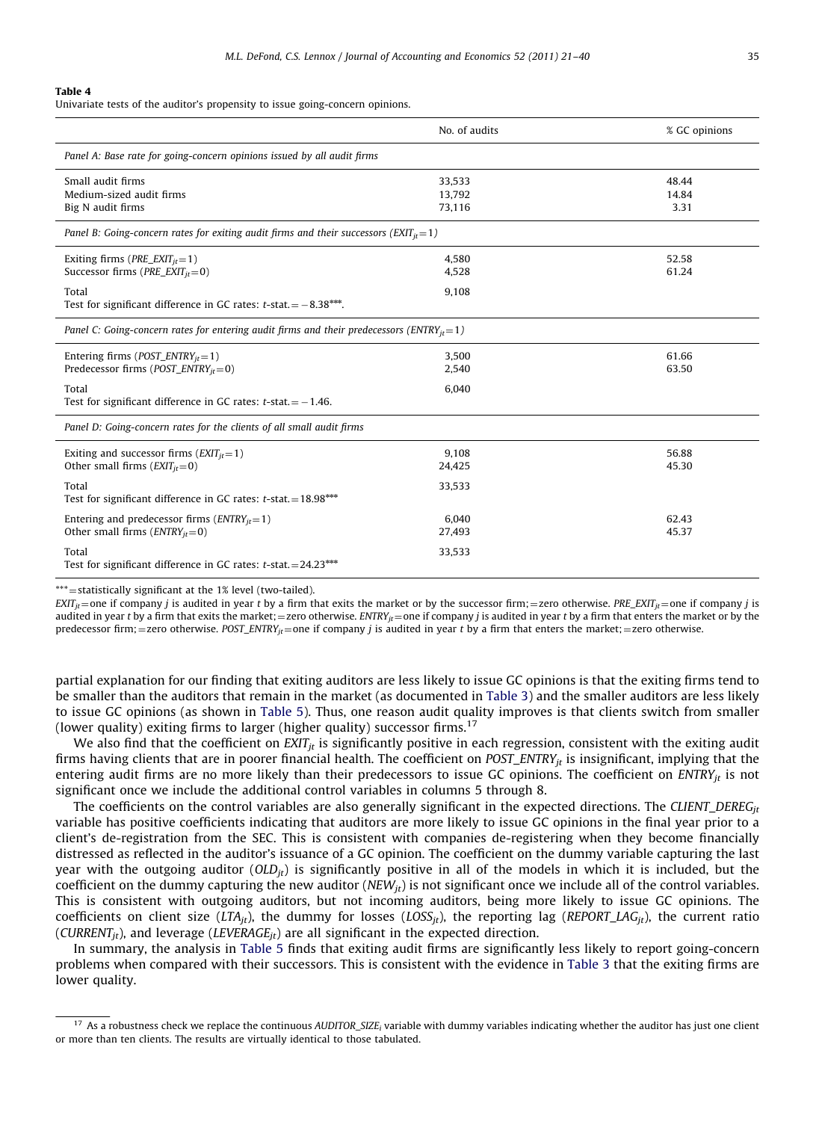#### <span id="page-14-0"></span>Table 4

Univariate tests of the auditor's propensity to issue going-concern opinions.

|                                                                                                                                                                                        | No. of audits              | % GC opinions          |  |  |  |  |  |  |
|----------------------------------------------------------------------------------------------------------------------------------------------------------------------------------------|----------------------------|------------------------|--|--|--|--|--|--|
| Panel A: Base rate for going-concern opinions issued by all audit firms                                                                                                                |                            |                        |  |  |  |  |  |  |
| Small audit firms<br>Medium-sized audit firms<br>Big N audit firms                                                                                                                     | 33,533<br>13,792<br>73,116 | 48.44<br>14.84<br>3.31 |  |  |  |  |  |  |
| Panel B: Going-concern rates for exiting audit firms and their successors ( $EXIT_{it}=1$ )                                                                                            |                            |                        |  |  |  |  |  |  |
| Exiting firms ( $PRE\_EXIT_{it} = 1$ )<br>Successor firms ( $PRE\_EXIT_{jt}=0$ )<br>Total<br>Test for significant difference in GC rates: $t$ -stat. $=$ $-$ 8.38***.                  | 4,580<br>4,528<br>9,108    | 52.58<br>61.24         |  |  |  |  |  |  |
| Panel C: Going-concern rates for entering audit firms and their predecessors ( $ENTRY_{it} = 1$ )                                                                                      |                            |                        |  |  |  |  |  |  |
| Entering firms ( <i>POST_ENTRY<sub>it</sub></i> =1)<br>Predecessor firms ( $POST\_ENTERY_{it} = 0$ )<br>Total<br>Test for significant difference in GC rates: $t$ -stat. $=$ $-$ 1.46. | 3,500<br>2,540<br>6,040    | 61.66<br>63.50         |  |  |  |  |  |  |
| Panel D: Going-concern rates for the clients of all small audit firms                                                                                                                  |                            |                        |  |  |  |  |  |  |
| Exiting and successor firms $(EXIT_{it}=1)$<br>Other small firms $(EXIT_{it}=0)$<br>Total<br>Test for significant difference in GC rates: $t$ -stat. = 18.98***                        | 9.108<br>24,425<br>33,533  | 56.88<br>45.30         |  |  |  |  |  |  |
| Entering and predecessor firms ( $ENTRY_{it} = 1$ )<br>Other small firms ( $ENTRY_{it} = 0$ )<br>Total                                                                                 | 6,040<br>27,493<br>33,533  | 62.43<br>45.37         |  |  |  |  |  |  |
| Test for significant difference in GC rates: $t$ -stat, = 24.23***                                                                                                                     |                            |                        |  |  |  |  |  |  |

\*\*\*=statistically significant at the 1% level (two-tailed).

 $EXIT_{jt}$ =one if company j is audited in year t by a firm that exits the market or by the successor firm; = zero otherwise. PRE\_EXIT<sub>jt</sub> = one if company j is audited in year t by a firm that exits the market; = zero otherwise. ENTRY<sub>it</sub> = one if company j is audited in year t by a firm that enters the market or by the predecessor firm; = zero otherwise. POST\_ENTRY<sub>it</sub> = one if company j is audited in year t by a firm that enters the market; = zero otherwise.

partial explanation for our finding that exiting auditors are less likely to issue GC opinions is that the exiting firms tend to be smaller than the auditors that remain in the market (as documented in [Table 3](#page-11-0)) and the smaller auditors are less likely to issue GC opinions (as shown in [Table 5](#page-15-0)). Thus, one reason audit quality improves is that clients switch from smaller (lower quality) exiting firms to larger (higher quality) successor firms.<sup>17</sup>

We also find that the coefficient on  $EXIT_{it}$  is significantly positive in each regression, consistent with the exiting audit firms having clients that are in poorer financial health. The coefficient on POST\_ENTRY $_{it}$  is insignificant, implying that the entering audit firms are no more likely than their predecessors to issue GC opinions. The coefficient on  $ENTRY_{it}$  is not significant once we include the additional control variables in columns 5 through 8.

The coefficients on the control variables are also generally significant in the expected directions. The CLIENT\_DEREG<sub>it</sub> variable has positive coefficients indicating that auditors are more likely to issue GC opinions in the final year prior to a client's de-registration from the SEC. This is consistent with companies de-registering when they become financially distressed as reflected in the auditor's issuance of a GC opinion. The coefficient on the dummy variable capturing the last year with the outgoing auditor  $(OLD_{it})$  is significantly positive in all of the models in which it is included, but the coefficient on the dummy capturing the new auditor  $(NEW_{it})$  is not significant once we include all of the control variables. This is consistent with outgoing auditors, but not incoming auditors, being more likely to issue GC opinions. The coefficients on client size (LTA<sub>it</sub>), the dummy for losses (LOSS<sub>it</sub>), the reporting lag (REPORT\_LAG<sub>it</sub>), the current ratio (CURRENT<sub>it</sub>), and leverage (LEVERAGE<sub>it</sub>) are all significant in the expected direction.

In summary, the analysis in [Table 5](#page-15-0) finds that exiting audit firms are significantly less likely to report going-concern problems when compared with their successors. This is consistent with the evidence in [Table 3](#page-11-0) that the exiting firms are lower quality.

<sup>&</sup>lt;sup>17</sup> As a robustness check we replace the continuous AUDITOR SIZE<sub>i</sub> variable with dummy variables indicating whether the auditor has just one client or more than ten clients. The results are virtually identical to those tabulated.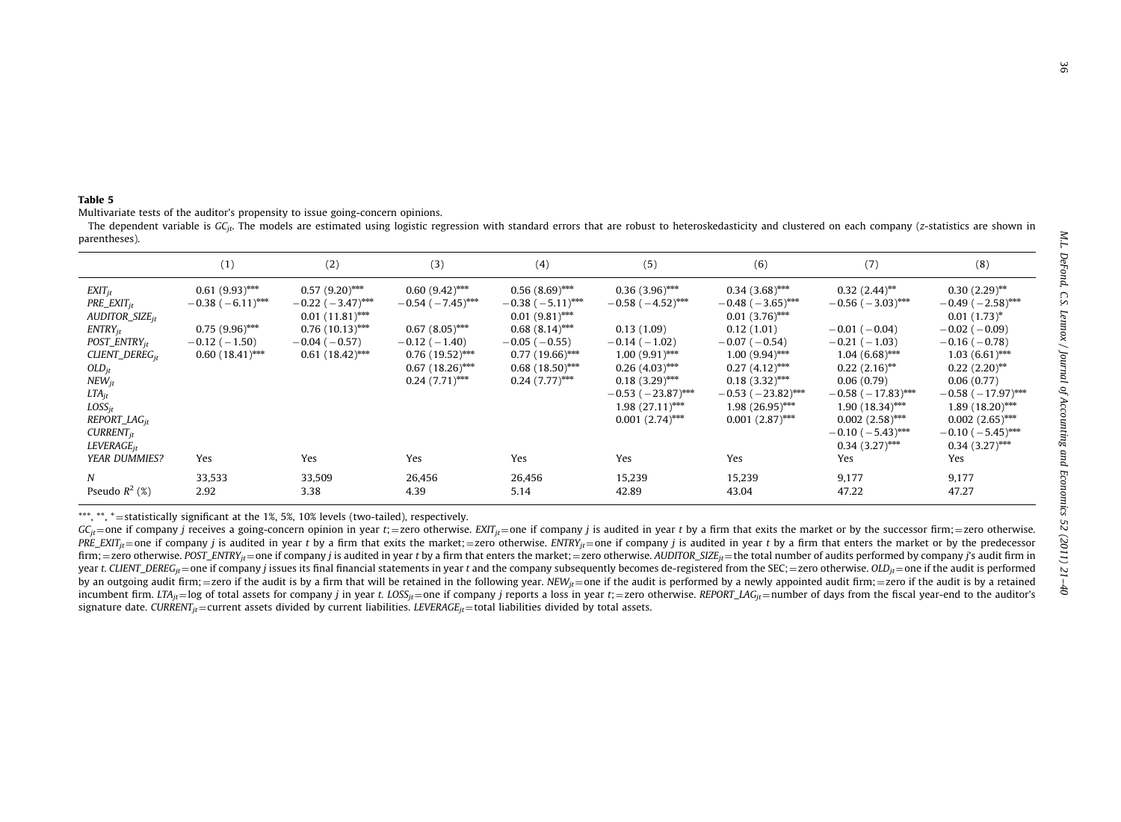#### <span id="page-15-0"></span>Multivariate tests of the auditor's propensity to issue going-concern opinions.

The dependent variable is  $GC_i$ . The models are estimated using logistic regression with standard errors that are robust to heteroskedasticity and clustered on each company (z-statistics are shown in parentheses).

|                                 | (1)                                                  | (2)                                        | (3)                                        | (4)                                        | (5)                                        | (6)                                        | (7)                                       | (8)                                       |
|---------------------------------|------------------------------------------------------|--------------------------------------------|--------------------------------------------|--------------------------------------------|--------------------------------------------|--------------------------------------------|-------------------------------------------|-------------------------------------------|
| $EXIT_{it}$<br>$PRE\_EXIT_{it}$ | $0.61(9.93)$ ***<br>$-0.38$ ( $-6.11$ <sup>***</sup> | $0.57(9.20)$ ***<br>$-0.22$ ( $-3.47$ )*** | $0.60(9.42)$ ***<br>$-0.54$ ( $-7.45$ )*** | $0.56(8.69)$ ***<br>$-0.38$ ( $-5.11$ )*** | $0.36(3.96)$ ***<br>$-0.58$ ( $-4.52$ )*** | $0.34(3.68)$ ***<br>$-0.48$ ( $-3.65$ )*** | $0.32(2.44)$ **<br>$-0.56$ ( $-3.03$ )*** | $0.30(2.29)$ **<br>$-0.49$ ( $-2.58$ )*** |
| AUDITOR_SIZE <sub>it</sub>      |                                                      | $0.01(11.81)$ ***                          |                                            | $0.01(9.81)$ **                            |                                            | $0.01(3.76)$ ***                           |                                           | $0.01(1.73)^*$                            |
| $ENTRY_{it}$                    | $0.75(9.96)$ ***                                     | $0.76(10.13)$ ***                          | $0.67(8.05)$ ***                           | $0.68$ $(8.14)$ ***                        | 0.13(1.09)                                 | 0.12(1.01)                                 | $-0.01$ ( $-0.04$ )                       | $-0.02$ ( $-0.09$ )                       |
| POST_ENTRY <sub>it</sub>        | $-0.12$ ( $-1.50$ )                                  | $-0.04$ ( $-0.57$ )                        | $-0.12$ ( $-1.40$ )                        | $-0.05$ ( $-0.55$ )                        | $-0.14(-1.02)$                             | $-0.07$ ( $-0.54$ )                        | $-0.21(-1.03)$                            | $-0.16(-0.78)$                            |
| CLIENT_DEREGit                  | $0.60(18.41)$ ***                                    | $0.61(18.42)$ ***                          | $0.76(19.52)$ ***                          | $0.77(19.66)$ ***                          | $1.00(9.91)$ ***                           | $1.00(9.94)$ ***                           | $1.04(6.68)$ ***                          | $1.03(6.61)$ ***                          |
| $OLD_{it}$                      |                                                      |                                            | $0.67$ (18.26)***                          | $0.68$ $(18.50)$ ***                       | $0.26$ $(4.03)$ ***                        | $0.27(4.12)$ ***                           | $0.22$ $(2.16)$ <sup>**</sup>             | $0.22$ $(2.20)$ **                        |
| $NEW_{it}$                      |                                                      |                                            | $0.24(7.71)$ ***                           | $0.24(7.77)$ ***                           | $0.18(3.29)$ ***                           | $0.18(3.32)$ ***                           | 0.06(0.79)                                | 0.06(0.77)                                |
| $LTA_{it}$                      |                                                      |                                            |                                            |                                            | $-0.53$ ( $-23.87$ )***                    | $-0.53$ ( $-23.82$ )***                    | $-0.58$ ( $-17.83$ )***                   | $-0.58$ ( $-17.97$ )***                   |
| $Loss_{it}$                     |                                                      |                                            |                                            |                                            | $1.98(27.11)$ ***                          | $1.98$ $(26.95)$ ***                       | $1.90(18.34)$ ***                         | $1.89(18.20)$ ***                         |
| REPORT_LAG <sub>it</sub>        |                                                      |                                            |                                            |                                            | $0.001(2.74)$ ***                          | $0.001(2.87)$ ***                          | $0.002$ $(2.58)$ ***                      | $0.002$ $(2.65)$ ***                      |
| $CURRENT_{it}$                  |                                                      |                                            |                                            |                                            |                                            |                                            | $-0.10$ ( $-5.43$ )***                    | $-0.10$ ( $-5.45$ )***                    |
| $LEVERAGE_{it}$                 |                                                      |                                            |                                            |                                            |                                            |                                            | $0.34(3.27)$ ***                          | $0.34(3.27)$ ***                          |
| <b>YEAR DUMMIES?</b>            | Yes                                                  | Yes                                        | Yes                                        | Yes                                        | Yes                                        | Yes                                        | Yes                                       | Yes                                       |
| N                               | 33,533                                               | 33,509                                     | 26,456                                     | 26,456                                     | 15,239                                     | 15,239                                     | 9,177                                     | 9,177                                     |
| Pseudo $R^2$ (%)                | 2.92                                                 | 3.38                                       | 4.39                                       | 5.14                                       | 42.89                                      | 43.04                                      | 47.22                                     | 47.27                                     |

\*\*\*, \*\*, \*=statistically significant at the 1%, 5%, 10% levels (two-tailed), respectively.

 $GC_{it}$  = one if company j receives a going-concern opinion in year t; = zero otherwise. EXIT<sub>it</sub> = one if company j is audited in year t by a firm that exits the market or by the successor firm; = zero otherwise.  $PRE$  EXIT<sub>it</sub> = one if company *i* is audited in year t by a firm that exits the market; = zero otherwise. ENTRY<sub>it</sub> = one if company *i* is audited in year t by a firm that enters the market or by the predecessor firm; = zero otherwise. POST\_ENTRY<sub>it</sub> = one if company *i* is audited in year t by a firm that enters the market; = zero otherwise. AUDITOR\_SIZE<sub>it</sub> = the total number of audits performed by company *i*'s audit firm in year t. CLIENT\_DEREG<sub>it</sub> = one if company i issues its final financial statements in year t and the company subsequently becomes de-registered from the SEC; = zero otherwise. OLD<sub>it</sub> = one if the audit is performed by an outgoing audit firm; = zero if the audit is by a firm that will be retained in the following year. NEW<sub>it</sub> = one if the audit is performed by a newly appointed audit firm; = zero if the audit is by a retained incumbent firm. LTA $_{it}$ =log of total assets for company j in year *t. LOSS<sub>it</sub>=one if company j reports a loss* in year *t;* =zero otherwise. REPORT\_LAG<sub>it</sub>=number of days from the fiscal year-end to the auditor's signature date. CURRENT<sub>it</sub> = current assets divided by current liabilities. LEVERAGE<sub>it</sub> = total liabilities divided by total assets.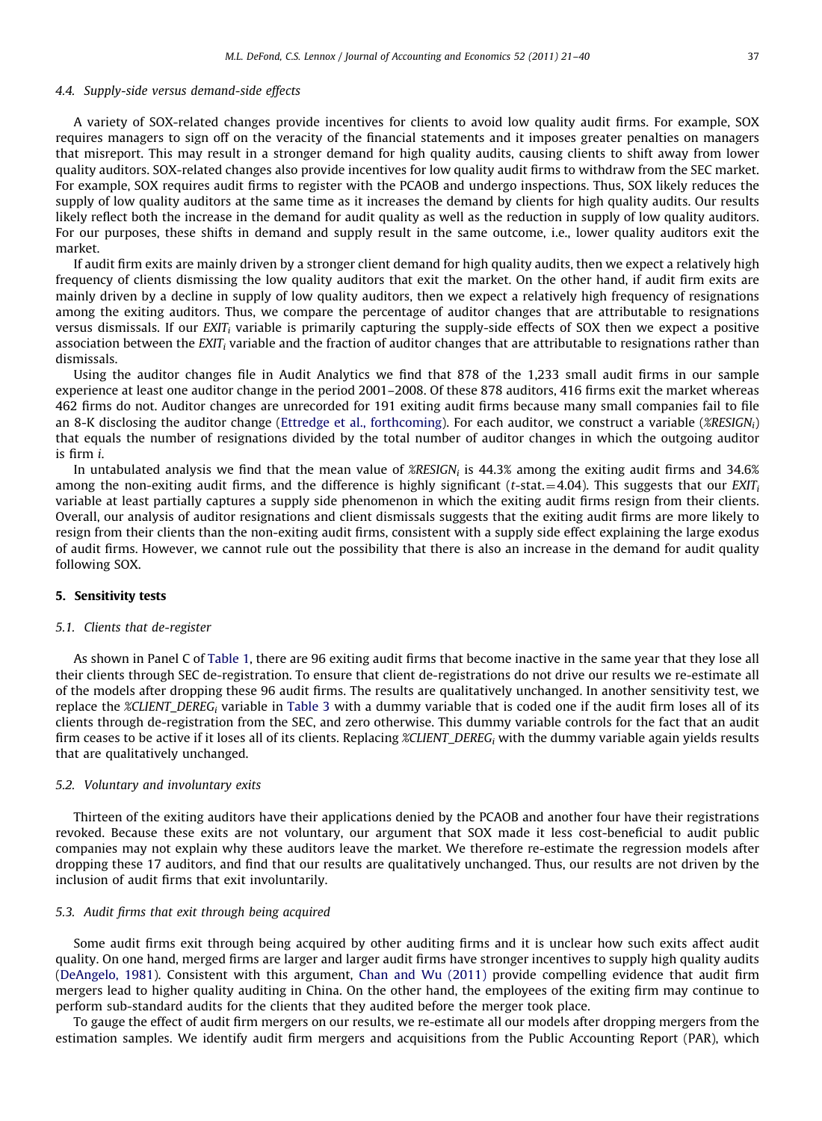### 4.4. Supply-side versus demand-side effects

A variety of SOX-related changes provide incentives for clients to avoid low quality audit firms. For example, SOX requires managers to sign off on the veracity of the financial statements and it imposes greater penalties on managers that misreport. This may result in a stronger demand for high quality audits, causing clients to shift away from lower quality auditors. SOX-related changes also provide incentives for low quality audit firms to withdraw from the SEC market. For example, SOX requires audit firms to register with the PCAOB and undergo inspections. Thus, SOX likely reduces the supply of low quality auditors at the same time as it increases the demand by clients for high quality audits. Our results likely reflect both the increase in the demand for audit quality as well as the reduction in supply of low quality auditors. For our purposes, these shifts in demand and supply result in the same outcome, i.e., lower quality auditors exit the market.

If audit firm exits are mainly driven by a stronger client demand for high quality audits, then we expect a relatively high frequency of clients dismissing the low quality auditors that exit the market. On the other hand, if audit firm exits are mainly driven by a decline in supply of low quality auditors, then we expect a relatively high frequency of resignations among the exiting auditors. Thus, we compare the percentage of auditor changes that are attributable to resignations versus dismissals. If our  $E X I T_i$  variable is primarily capturing the supply-side effects of SOX then we expect a positive association between the EXIT<sub>i</sub> variable and the fraction of auditor changes that are attributable to resignations rather than dismissals.

Using the auditor changes file in Audit Analytics we find that 878 of the 1,233 small audit firms in our sample experience at least one auditor change in the period 2001–2008. Of these 878 auditors, 416 firms exit the market whereas 462 firms do not. Auditor changes are unrecorded for 191 exiting audit firms because many small companies fail to file an 8-K disclosing the auditor change [\(Ettredge et al., forthcoming\)](#page-18-0). For each auditor, we construct a variable  $(XRESIGN_i)$ that equals the number of resignations divided by the total number of auditor changes in which the outgoing auditor is firm i.

In untabulated analysis we find that the mean value of *&RESIGN<sub>i</sub>* is 44.3% among the exiting audit firms and 34.6% among the non-exiting audit firms, and the difference is highly significant (t-stat. $=4.04$ ). This suggests that our EXIT<sub>i</sub> variable at least partially captures a supply side phenomenon in which the exiting audit firms resign from their clients. Overall, our analysis of auditor resignations and client dismissals suggests that the exiting audit firms are more likely to resign from their clients than the non-exiting audit firms, consistent with a supply side effect explaining the large exodus of audit firms. However, we cannot rule out the possibility that there is also an increase in the demand for audit quality following SOX.

# 5. Sensitivity tests

#### 5.1. Clients that de-register

As shown in Panel C of [Table 1](#page-5-0), there are 96 exiting audit firms that become inactive in the same year that they lose all their clients through SEC de-registration. To ensure that client de-registrations do not drive our results we re-estimate all of the models after dropping these 96 audit firms. The results are qualitatively unchanged. In another sensitivity test, we replace the  $\mathcal{ZCLENT}\_DEREG_i$  variable in [Table 3](#page-11-0) with a dummy variable that is coded one if the audit firm loses all of its clients through de-registration from the SEC, and zero otherwise. This dummy variable controls for the fact that an audit firm ceases to be active if it loses all of its clients. Replacing *%CLIENT\_DEREG<sub>i</sub>* with the dummy variable again yields results that are qualitatively unchanged.

#### 5.2. Voluntary and involuntary exits

Thirteen of the exiting auditors have their applications denied by the PCAOB and another four have their registrations revoked. Because these exits are not voluntary, our argument that SOX made it less cost-beneficial to audit public companies may not explain why these auditors leave the market. We therefore re-estimate the regression models after dropping these 17 auditors, and find that our results are qualitatively unchanged. Thus, our results are not driven by the inclusion of audit firms that exit involuntarily.

#### 5.3. Audit firms that exit through being acquired

Some audit firms exit through being acquired by other auditing firms and it is unclear how such exits affect audit quality. On one hand, merged firms are larger and larger audit firms have stronger incentives to supply high quality audits ([DeAngelo, 1981\)](#page-18-0). Consistent with this argument, [Chan and Wu \(2011\)](#page-18-0) provide compelling evidence that audit firm mergers lead to higher quality auditing in China. On the other hand, the employees of the exiting firm may continue to perform sub-standard audits for the clients that they audited before the merger took place.

To gauge the effect of audit firm mergers on our results, we re-estimate all our models after dropping mergers from the estimation samples. We identify audit firm mergers and acquisitions from the Public Accounting Report (PAR), which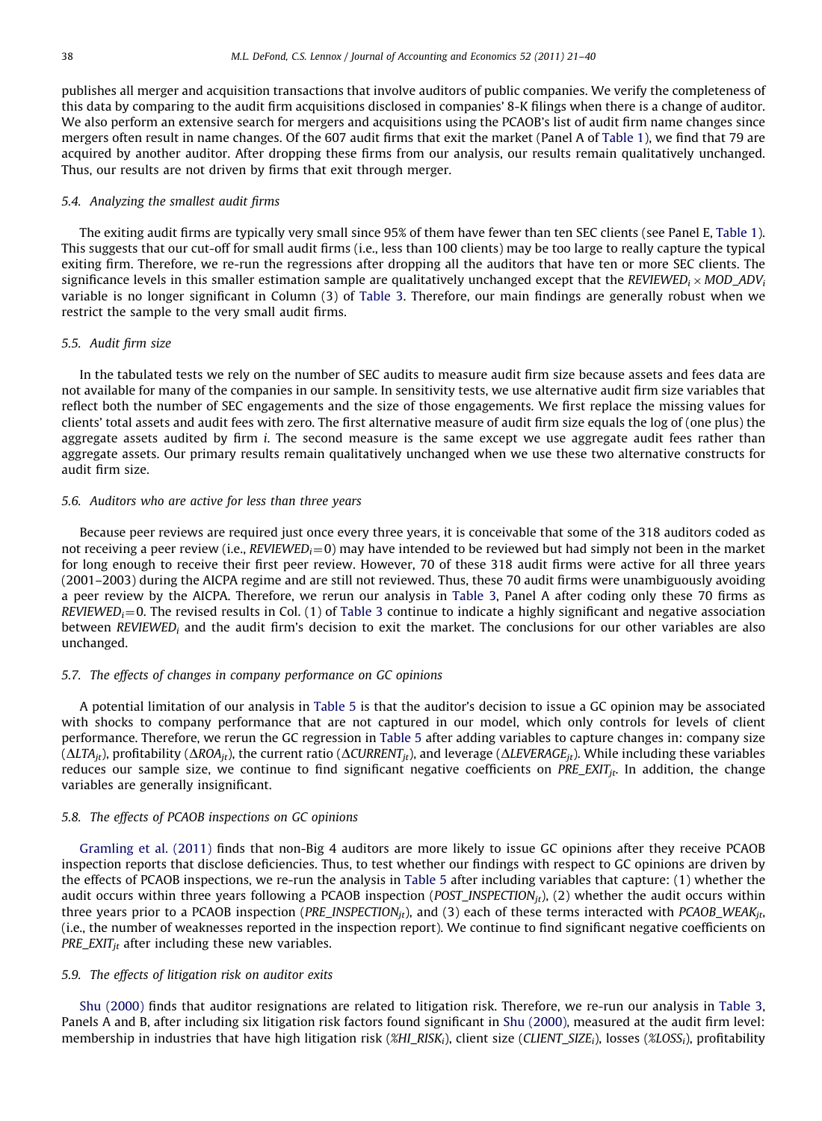publishes all merger and acquisition transactions that involve auditors of public companies. We verify the completeness of this data by comparing to the audit firm acquisitions disclosed in companies' 8-K filings when there is a change of auditor. We also perform an extensive search for mergers and acquisitions using the PCAOB's list of audit firm name changes since mergers often result in name changes. Of the 607 audit firms that exit the market (Panel A of [Table 1\)](#page-5-0), we find that 79 are acquired by another auditor. After dropping these firms from our analysis, our results remain qualitatively unchanged. Thus, our results are not driven by firms that exit through merger.

## 5.4. Analyzing the smallest audit firms

The exiting audit firms are typically very small since 95% of them have fewer than ten SEC clients (see Panel E, [Table 1](#page-5-0)). This suggests that our cut-off for small audit firms (i.e., less than 100 clients) may be too large to really capture the typical exiting firm. Therefore, we re-run the regressions after dropping all the auditors that have ten or more SEC clients. The significance levels in this smaller estimation sample are qualitatively unchanged except that the REVIEWED<sub>i</sub>  $\times$  MOD\_ADV<sub>i</sub> variable is no longer significant in Column (3) of [Table 3](#page-11-0). Therefore, our main findings are generally robust when we restrict the sample to the very small audit firms.

# 5.5. Audit firm size

In the tabulated tests we rely on the number of SEC audits to measure audit firm size because assets and fees data are not available for many of the companies in our sample. In sensitivity tests, we use alternative audit firm size variables that reflect both the number of SEC engagements and the size of those engagements. We first replace the missing values for clients' total assets and audit fees with zero. The first alternative measure of audit firm size equals the log of (one plus) the aggregate assets audited by firm i. The second measure is the same except we use aggregate audit fees rather than aggregate assets. Our primary results remain qualitatively unchanged when we use these two alternative constructs for audit firm size.

# 5.6. Auditors who are active for less than three years

Because peer reviews are required just once every three years, it is conceivable that some of the 318 auditors coded as not receiving a peer review (i.e., REVIEWED<sub>i</sub>=0) may have intended to be reviewed but had simply not been in the market for long enough to receive their first peer review. However, 70 of these 318 audit firms were active for all three years (2001–2003) during the AICPA regime and are still not reviewed. Thus, these 70 audit firms were unambiguously avoiding a peer review by the AICPA. Therefore, we rerun our analysis in [Table 3,](#page-11-0) Panel A after coding only these 70 firms as  $REVIEWED<sub>i</sub>=0$ . The revised results in Col. (1) of [Table 3](#page-11-0) continue to indicate a highly significant and negative association between REVIEWED; and the audit firm's decision to exit the market. The conclusions for our other variables are also unchanged.

# 5.7. The effects of changes in company performance on GC opinions

A potential limitation of our analysis in [Table 5](#page-15-0) is that the auditor's decision to issue a GC opinion may be associated with shocks to company performance that are not captured in our model, which only controls for levels of client performance. Therefore, we rerun the GC regression in [Table 5](#page-15-0) after adding variables to capture changes in: company size ( $\Delta L T A_{it}$ ), profitability ( $\Delta ROA_{it}$ ), the current ratio ( $\Delta CURRENT_{it}$ ), and leverage ( $\Delta LEVERAGE_{it}$ ). While including these variables reduces our sample size, we continue to find significant negative coefficients on PRE\_EXIT<sub>it</sub>. In addition, the change variables are generally insignificant.

# 5.8. The effects of PCAOB inspections on GC opinions

[Gramling et al. \(2011\)](#page-18-0) finds that non-Big 4 auditors are more likely to issue GC opinions after they receive PCAOB inspection reports that disclose deficiencies. Thus, to test whether our findings with respect to GC opinions are driven by the effects of PCAOB inspections, we re-run the analysis in [Table 5](#page-15-0) after including variables that capture: (1) whether the audit occurs within three years following a PCAOB inspection (POST\_INSPECTION<sub>it</sub>), (2) whether the audit occurs within three years prior to a PCAOB inspection (PRE\_INSPECTION $_{it}$ ), and (3) each of these terms interacted with PCAOB\_WEAK $_{it}$ , (i.e., the number of weaknesses reported in the inspection report). We continue to find significant negative coefficients on  $PRE\_EXIT_{it}$  after including these new variables.

#### 5.9. The effects of litigation risk on auditor exits

[Shu \(2000\)](#page-19-0) finds that auditor resignations are related to litigation risk. Therefore, we re-run our analysis in [Table 3](#page-11-0), Panels A and B, after including six litigation risk factors found significant in [Shu \(2000\),](#page-19-0) measured at the audit firm level: membership in industries that have high litigation risk (%HI\_RISK<sub>i</sub>), client size (CLIENT\_SIZE<sub>i</sub>), losses (%LOSS<sub>i</sub>), profitability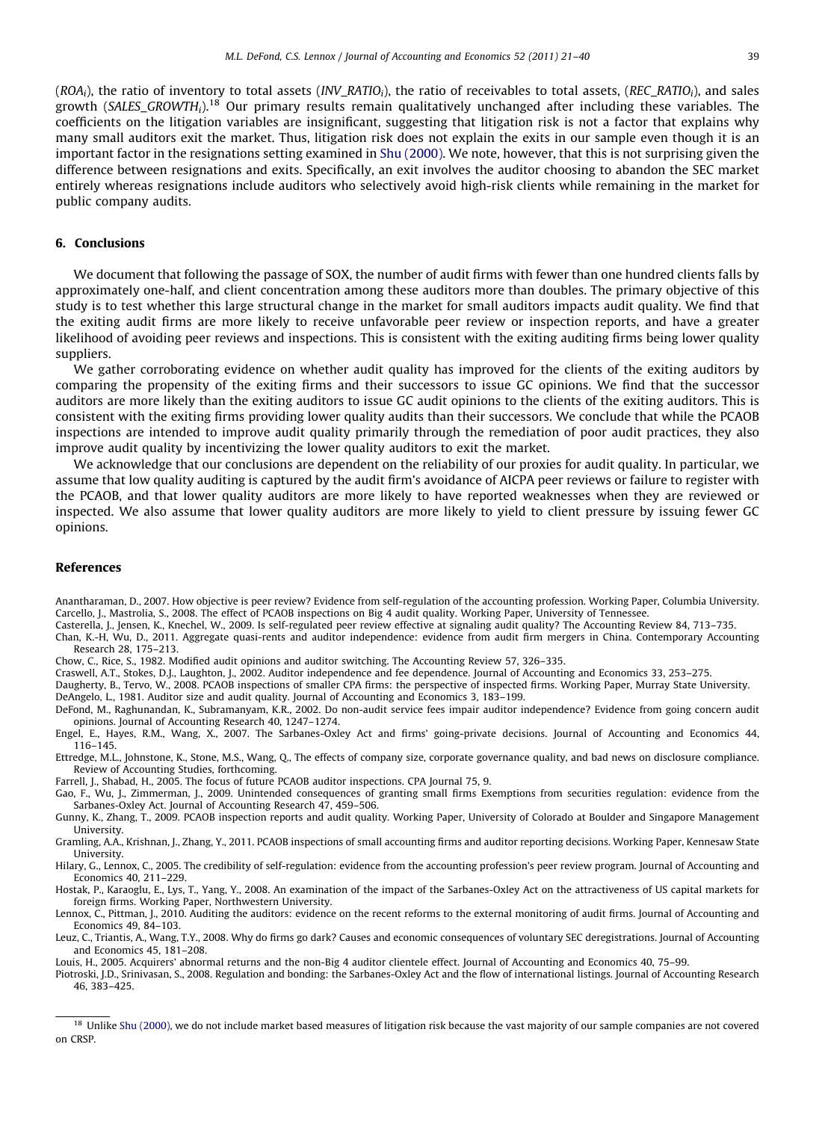<span id="page-18-0"></span> $(ROA<sub>i</sub>)$ , the ratio of inventory to total assets (INV RATIO<sub>i</sub>), the ratio of receivables to total assets, (REC RATIO<sub>i</sub>), and sales growth (SALES GROWTH<sub>i</sub>).<sup>18</sup> Our primary results remain qualitatively unchanged after including these variables. The coefficients on the litigation variables are insignificant, suggesting that litigation risk is not a factor that explains why many small auditors exit the market. Thus, litigation risk does not explain the exits in our sample even though it is an important factor in the resignations setting examined in [Shu \(2000\)](#page-19-0). We note, however, that this is not surprising given the difference between resignations and exits. Specifically, an exit involves the auditor choosing to abandon the SEC market entirely whereas resignations include auditors who selectively avoid high-risk clients while remaining in the market for public company audits.

# 6. Conclusions

We document that following the passage of SOX, the number of audit firms with fewer than one hundred clients falls by approximately one-half, and client concentration among these auditors more than doubles. The primary objective of this study is to test whether this large structural change in the market for small auditors impacts audit quality. We find that the exiting audit firms are more likely to receive unfavorable peer review or inspection reports, and have a greater likelihood of avoiding peer reviews and inspections. This is consistent with the exiting auditing firms being lower quality suppliers.

We gather corroborating evidence on whether audit quality has improved for the clients of the exiting auditors by comparing the propensity of the exiting firms and their successors to issue GC opinions. We find that the successor auditors are more likely than the exiting auditors to issue GC audit opinions to the clients of the exiting auditors. This is consistent with the exiting firms providing lower quality audits than their successors. We conclude that while the PCAOB inspections are intended to improve audit quality primarily through the remediation of poor audit practices, they also improve audit quality by incentivizing the lower quality auditors to exit the market.

We acknowledge that our conclusions are dependent on the reliability of our proxies for audit quality. In particular, we assume that low quality auditing is captured by the audit firm's avoidance of AICPA peer reviews or failure to register with the PCAOB, and that lower quality auditors are more likely to have reported weaknesses when they are reviewed or inspected. We also assume that lower quality auditors are more likely to yield to client pressure by issuing fewer GC opinions.

#### References

Anantharaman, D., 2007. How objective is peer review? Evidence from self-regulation of the accounting profession. Working Paper, Columbia University. Carcello, J., Mastrolia, S., 2008. The effect of PCAOB inspections on Big 4 audit quality. Working Paper, University of Tennessee.

- Casterella, J., Jensen, K., Knechel, W., 2009. Is self-regulated peer review effective at signaling audit quality? The Accounting Review 84, 713–735.
- Chan, K.-H, Wu, D., 2011. Aggregate quasi-rents and auditor independence: evidence from audit firm mergers in China. Contemporary Accounting Research 28, 175–213.
- Chow, C., Rice, S., 1982. Modified audit opinions and auditor switching. The Accounting Review 57, 326–335.

Craswell, A.T., Stokes, D.J., Laughton, J., 2002. Auditor independence and fee dependence. Journal of Accounting and Economics 33, 253–275. Daugherty, B., Tervo, W., 2008. PCAOB inspections of smaller CPA firms: the perspective of inspected firms. Working Paper, Murray State University.

DeAngelo, L., 1981. Auditor size and audit quality. Journal of Accounting and Economics 3, 183–199.

DeFond, M., Raghunandan, K., Subramanyam, K.R., 2002. Do non-audit service fees impair auditor independence? Evidence from going concern audit opinions. Journal of Accounting Research 40, 1247–1274.

Engel, E., Hayes, R.M., Wang, X., 2007. The Sarbanes-Oxley Act and firms' going-private decisions. Journal of Accounting and Economics 44, 116–145.

Ettredge, M.L., Johnstone, K., Stone, M.S., Wang, Q., The effects of company size, corporate governance quality, and bad news on disclosure compliance. Review of Accounting Studies, forthcoming.

Farrell, J., Shabad, H., 2005. The focus of future PCAOB auditor inspections. CPA Journal 75, 9.

Gao, F., Wu, J., Zimmerman, J., 2009. Unintended consequences of granting small firms Exemptions from securities regulation: evidence from the Sarbanes-Oxley Act. Journal of Accounting Research 47, 459–506.

Gunny, K., Zhang, T., 2009. PCAOB inspection reports and audit quality. Working Paper, University of Colorado at Boulder and Singapore Management University.

Gramling, A.A., Krishnan, J., Zhang, Y., 2011. PCAOB inspections of small accounting firms and auditor reporting decisions. Working Paper, Kennesaw State University.

Hilary, G., Lennox, C., 2005. The credibility of self-regulation: evidence from the accounting profession's peer review program. Journal of Accounting and Economics 40, 211–229.

Hostak, P., Karaoglu, E., Lys, T., Yang, Y., 2008. An examination of the impact of the Sarbanes-Oxley Act on the attractiveness of US capital markets for foreign firms. Working Paper, Northwestern University.

Lennox, C., Pittman, J., 2010. Auditing the auditors: evidence on the recent reforms to the external monitoring of audit firms. Journal of Accounting and Economics 49, 84–103.

Leuz, C., Triantis, A., Wang, T.Y., 2008. Why do firms go dark? Causes and economic consequences of voluntary SEC deregistrations. Journal of Accounting and Economics 45, 181–208.

Louis, H., 2005. Acquirers' abnormal returns and the non-Big 4 auditor clientele effect. Journal of Accounting and Economics 40, 75–99.

Piotroski, J.D., Srinivasan, S., 2008. Regulation and bonding: the Sarbanes-Oxley Act and the flow of international listings. Journal of Accounting Research 46, 383–425.

<sup>&</sup>lt;sup>18</sup> Unlike [Shu \(2000\),](#page-19-0) we do not include market based measures of litigation risk because the vast majority of our sample companies are not covered on CRSP.